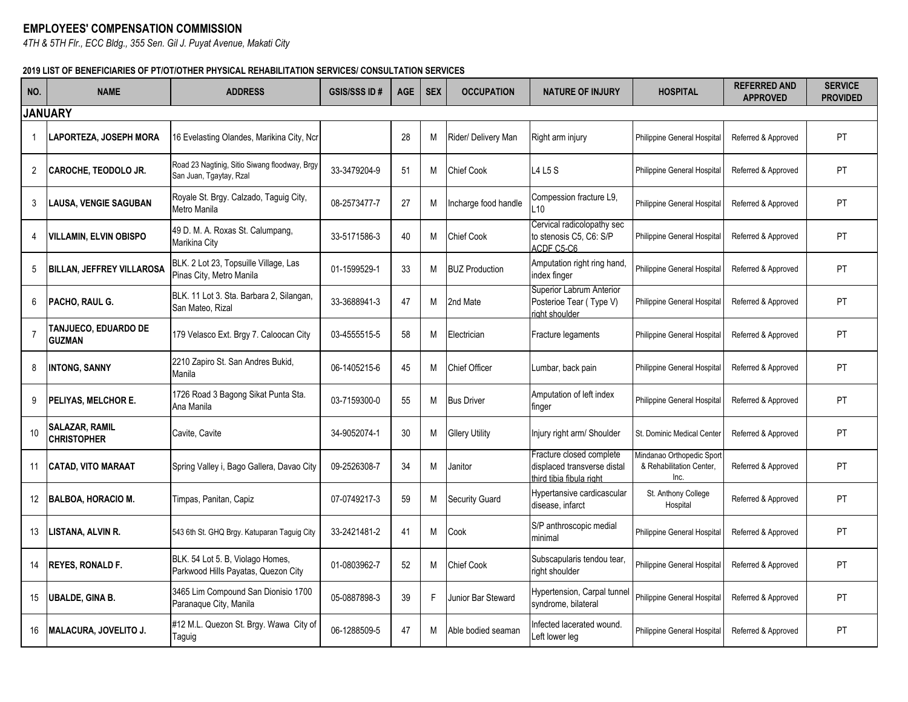## **EMPLOYEES' COMPENSATION COMMISSION**

*4TH & 5TH Flr., ECC Bldg., 355 Sen. Gil J. Puyat Avenue, Makati City*

## **2019 LIST OF BENEFICIARIES OF PT/OT/OTHER PHYSICAL REHABILITATION SERVICES/ CONSULTATION SERVICES**

| NO.                  | <b>NAME</b>                                 | <b>ADDRESS</b>                                                           | <b>GSIS/SSS ID#</b> | <b>AGE</b> | <b>SEX</b> | <b>OCCUPATION</b>     | <b>NATURE OF INJURY</b>                                                             | <b>HOSPITAL</b>                                              | <b>REFERRED AND</b><br><b>APPROVED</b> | <b>SERVICE</b><br><b>PROVIDED</b> |
|----------------------|---------------------------------------------|--------------------------------------------------------------------------|---------------------|------------|------------|-----------------------|-------------------------------------------------------------------------------------|--------------------------------------------------------------|----------------------------------------|-----------------------------------|
| <b>JANUARY</b>       |                                             |                                                                          |                     |            |            |                       |                                                                                     |                                                              |                                        |                                   |
|                      | <b>LAPORTEZA, JOSEPH MORA</b>               | 16 Evelasting Olandes, Marikina City, Ncr                                |                     | 28         | М          | Rider/ Delivery Man   | Right arm injury                                                                    | Philippine General Hospital                                  | Referred & Approved                    | PT                                |
| $\mathbf{2}^{\circ}$ | <b>CAROCHE, TEODOLO JR.</b>                 | Road 23 Nagtinig, Sitio Siwang floodway, Brgy<br>San Juan, Tgaytay, Rzal | 33-3479204-9        | 51         | М          | Chief Cook            | L4 L5 S                                                                             | Philippine General Hospital                                  | Referred & Approved                    | PT                                |
| 3                    | <b>LAUSA, VENGIE SAGUBAN</b>                | Royale St. Brgy. Calzado, Taguig City,<br>Metro Manila                   | 08-2573477-7        | 27         | M          | Incharge food handle  | Compession fracture L9.<br>.10                                                      | Philippine General Hospital                                  | Referred & Approved                    | <b>PT</b>                         |
| 4                    | <b>VILLAMIN, ELVIN OBISPO</b>               | 49 D. M. A. Roxas St. Calumpang,<br>Marikina City                        | 33-5171586-3        | 40         | М          | <b>Chief Cook</b>     | Cervical radicolopathy sec<br>to stenosis C5, C6: S/P<br>ACDF C5-C6                 | Philippine General Hospital                                  | Referred & Approved                    | PT                                |
| 5                    | <b>BILLAN, JEFFREY VILLAROSA</b>            | BLK. 2 Lot 23, Topsuille Village, Las<br>Pinas City, Metro Manila        | 01-1599529-1        | 33         | М          | <b>BUZ Production</b> | Amputation right ring hand,<br>index finger                                         | Philippine General Hospital                                  | Referred & Approved                    | PT                                |
| 6                    | <b>PACHO, RAUL G.</b>                       | BLK. 11 Lot 3. Sta. Barbara 2, Silangan,<br>San Mateo, Rizal             | 33-3688941-3        | 47         | М          | 2nd Mate              | Superior Labrum Anterior<br>Posterioe Tear (Type V)<br>riaht shoulder               | Philippine General Hospital                                  | Referred & Approved                    | PT                                |
| 7                    | TANJUECO, EDUARDO DE<br><b>GUZMAN</b>       | 179 Velasco Ext. Brgy 7. Caloocan City                                   | 03-4555515-5        | 58         | М          | Electrician           | Fracture legaments                                                                  | Philippine General Hospital                                  | Referred & Approved                    | <b>PT</b>                         |
| 8                    | <b>INTONG, SANNY</b>                        | 2210 Zapiro St. San Andres Bukid,<br>Manila                              | 06-1405215-6        | 45         | М          | <b>Chief Officer</b>  | Lumbar, back pain                                                                   | Philippine General Hospital                                  | Referred & Approved                    | <b>PT</b>                         |
| 9                    | <b>PELIYAS, MELCHOR E.</b>                  | 1726 Road 3 Bagong Sikat Punta Sta.<br>Ana Manila                        | 03-7159300-0        | 55         | М          | <b>Bus Driver</b>     | Amputation of left index<br>finger                                                  | Philippine General Hospital                                  | Referred & Approved                    | <b>PT</b>                         |
| 10                   | <b>SALAZAR, RAMIL</b><br><b>CHRISTOPHER</b> | Cavite, Cavite                                                           | 34-9052074-1        | 30         | M          | <b>Gllery Utility</b> | Injury right arm/ Shoulder                                                          | St. Dominic Medical Center                                   | Referred & Approved                    | <b>PT</b>                         |
| 11                   | <b>CATAD, VITO MARAAT</b>                   | Spring Valley i, Bago Gallera, Davao City                                | 09-2526308-7        | 34         | М          | Janitor               | Fracture closed complete<br>displaced transverse distal<br>third tibia fibula right | Mindanao Orthopedic Spor<br>& Rehabilitation Center.<br>Inc. | Referred & Approved                    | PT                                |
| $12 \overline{ }$    | <b>BALBOA, HORACIO M.</b>                   | Timpas, Panitan, Capiz                                                   | 07-0749217-3        | 59         | М          | <b>Security Guard</b> | Hypertansive cardicascular<br>disease, infarct                                      | St. Anthony College<br>Hospital                              | Referred & Approved                    | <b>PT</b>                         |
| 13                   | LISTANA, ALVIN R.                           | 543 6th St. GHQ Brgy. Katuparan Taguig City                              | 33-2421481-2        | 41         | М          | Cook                  | S/P anthroscopic medial<br>minimal                                                  | Philippine General Hospital                                  | Referred & Approved                    | PT                                |
| 14                   | <b>REYES, RONALD F.</b>                     | BLK. 54 Lot 5. B, Violago Homes,<br>Parkwood Hills Payatas, Quezon City  | 01-0803962-7        | 52         | М          | Chief Cook            | Subscapularis tendou tear,<br>right shoulder                                        | Philippine General Hospital                                  | Referred & Approved                    | <b>PT</b>                         |
| 15                   | <b>UBALDE, GINA B.</b>                      | 3465 Lim Compound San Dionisio 1700<br>Paranaque City, Manila            | 05-0887898-3        | 39         | F.         | Junior Bar Steward    | Hypertension, Carpal tunnel<br>syndrome, bilateral                                  | Philippine General Hospital                                  | Referred & Approved                    | <b>PT</b>                         |
| 16                   | MALACURA, JOVELITO J.                       | #12 M.L. Quezon St. Brgy. Wawa City of<br>Taguig                         | 06-1288509-5        | 47         | М          | Able bodied seaman    | nfected lacerated wound.<br>Left lower leg                                          | Philippine General Hospital                                  | Referred & Approved                    | <b>PT</b>                         |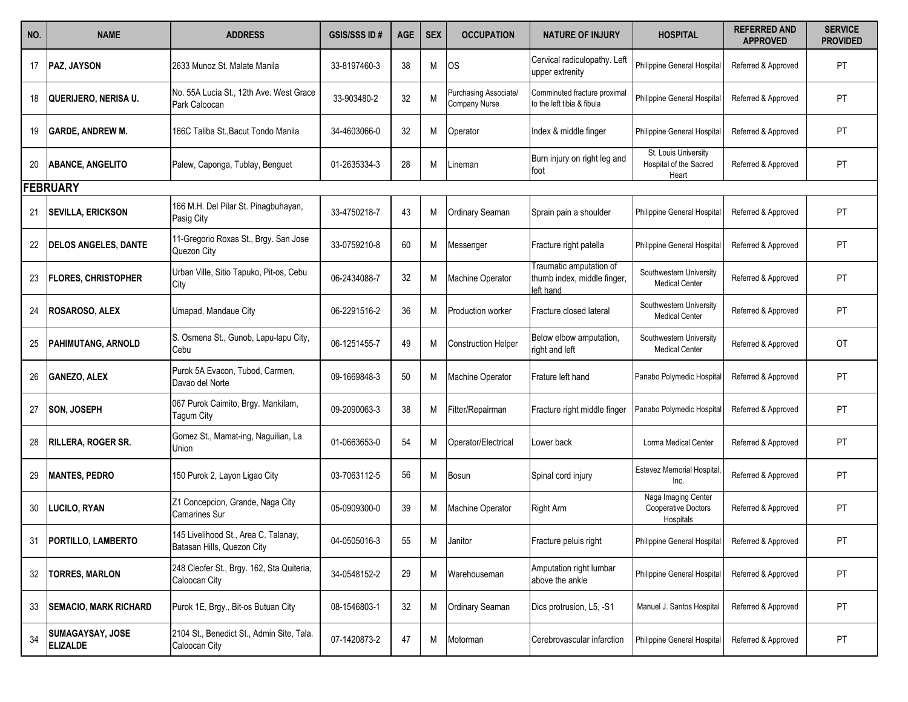| NO. | <b>NAME</b>                                | <b>ADDRESS</b>                                                     | <b>GSIS/SSS ID#</b> | <b>AGE</b> | <b>SEX</b> | <b>OCCUPATION</b>                      | <b>NATURE OF INJURY</b>                                             | <b>HOSPITAL</b>                                         | <b>REFERRED AND</b><br><b>APPROVED</b> | <b>SERVICE</b><br><b>PROVIDED</b> |
|-----|--------------------------------------------|--------------------------------------------------------------------|---------------------|------------|------------|----------------------------------------|---------------------------------------------------------------------|---------------------------------------------------------|----------------------------------------|-----------------------------------|
| 17  | PAZ, JAYSON                                | 2633 Munoz St. Malate Manila                                       | 33-8197460-3        | 38         | Μ          | <b>OS</b>                              | Cervical radiculopathy. Left<br>upper extrenity                     | Philippine General Hospital                             | Referred & Approved                    | PT                                |
| 18  | QUERIJERO, NERISA U.                       | No. 55A Lucia St., 12th Ave. West Grace<br>Park Caloocan           | 33-903480-2         | 32         | N          | Purchasing Associate/<br>Company Nurse | Comminuted fracture proximal<br>to the left tibia & fibula          | Philippine General Hospital                             | Referred & Approved                    | PT                                |
| 19  | <b>GARDE, ANDREW M.</b>                    | 166C Taliba St.,Bacut Tondo Manila                                 | 34-4603066-0        | 32         | M          | Operator                               | Index & middle finger                                               | Philippine General Hospital                             | Referred & Approved                    | PT                                |
| 20  | <b>ABANCE, ANGELITO</b>                    | Palew, Caponga, Tublay, Benguet                                    | 01-2635334-3        | 28         | M          | Lineman                                | Burn injury on right leg and<br>foot                                | St. Louis University<br>Hospital of the Sacred<br>Heart | Referred & Approved                    | PT                                |
|     | <b>FEBRUARY</b>                            |                                                                    |                     |            |            |                                        |                                                                     |                                                         |                                        |                                   |
| 21  | <b>SEVILLA, ERICKSON</b>                   | 166 M.H. Del Pilar St. Pinagbuhayan,<br>Pasig City                 | 33-4750218-7        | 43         | Μ          | Ordinary Seaman                        | Sprain pain a shoulder                                              | Philippine General Hospital                             | Referred & Approved                    | PT                                |
| 22  | <b>DELOS ANGELES, DANTE</b>                | 11-Gregorio Roxas St., Brgy. San Jose<br>Quezon City               | 33-0759210-8        | 60         | M          | Messenger                              | Fracture right patella                                              | Philippine General Hospital                             | Referred & Approved                    | PT                                |
| 23  | <b>FLORES, CHRISTOPHER</b>                 | Urban Ville, Sitio Tapuko, Pit-os, Cebu<br>City                    | 06-2434088-7        | 32         | Μ          | Machine Operator                       | Traumatic amputation of<br>thumb index, middle finger,<br>left hand | Southwestern University<br><b>Medical Center</b>        | Referred & Approved                    | PT                                |
| 24  | <b>ROSAROSO, ALEX</b>                      | Umapad, Mandaue City                                               | 06-2291516-2        | 36         | M          | Production worker                      | Fracture closed lateral                                             | Southwestern University<br><b>Medical Center</b>        | Referred & Approved                    | PT                                |
| 25  | <b>PAHIMUTANG, ARNOLD</b>                  | S. Osmena St., Gunob, Lapu-lapu City,<br>Cebu                      | 06-1251455-7        | 49         | M          | <b>Construction Helper</b>             | Below elbow amputation,<br>right and left                           | Southwestern University<br><b>Medical Center</b>        | Referred & Approved                    | <b>OT</b>                         |
| 26  | <b>GANEZO, ALEX</b>                        | Purok 5A Evacon, Tubod, Carmen,<br>Davao del Norte                 | 09-1669848-3        | 50         | M          | Machine Operator                       | Frature left hand                                                   | Panabo Polymedic Hospita                                | Referred & Approved                    | <b>PT</b>                         |
| 27  | <b>SON, JOSEPH</b>                         | 067 Purok Caimito, Brgy. Mankilam,<br>Tagum City                   | 09-2090063-3        | 38         | M          | Fitter/Repairman                       | Fracture right middle finger                                        | Panabo Polymedic Hospita                                | Referred & Approved                    | PT                                |
| 28  | <b>RILLERA, ROGER SR.</b>                  | Gomez St., Mamat-ing, Naguilian, La<br>Union                       | 01-0663653-0        | 54         | Μ          | Operator/Electrical                    | Lower back                                                          | Lorma Medical Center                                    | Referred & Approved                    | PT                                |
| 29  | <b>MANTES, PEDRO</b>                       | 150 Purok 2, Layon Ligao City                                      | 03-7063112-5        | 56         | M          | <b>Bosun</b>                           | Spinal cord injury                                                  | <b>Estevez Memorial Hospital</b><br>Inc.                | Referred & Approved                    | PT                                |
| 30  | <b>LUCILO, RYAN</b>                        | Z1 Concepcion, Grande, Naga City<br><b>Camarines Sur</b>           | 05-0909300-0        | 39         | Μ          | Machine Operator                       | <b>Right Arm</b>                                                    | Naga Imaging Center<br>Cooperative Doctors<br>Hospitals | Referred & Approved                    | PT                                |
| 31  | <b>PORTILLO, LAMBERTO</b>                  | 145 Livelihood St., Area C. Talanay,<br>Batasan Hills, Quezon City | 04-0505016-3        | 55         | M          | Janitor                                | Fracture peluis right                                               | Philippine General Hospital                             | Referred & Approved                    | <b>PT</b>                         |
| 32  | <b>TORRES, MARLON</b>                      | 248 Cleofer St., Brgy. 162, Sta Quiteria,<br>Caloocan City         | 34-0548152-2        | 29         | M          | Warehouseman                           | Amputation right lumbar<br>above the ankle                          | Philippine General Hospital                             | Referred & Approved                    | <b>PT</b>                         |
| 33  | <b>SEMACIO, MARK RICHARD</b>               | Purok 1E, Brgy., Bit-os Butuan City                                | 08-1546803-1        | 32         | Μ          | <b>Ordinary Seaman</b>                 | Dics protrusion, L5, -S1                                            | Manuel J. Santos Hospital                               | Referred & Approved                    | <b>PT</b>                         |
| 34  | <b>SUMAGAYSAY, JOSE</b><br><b>ELIZALDE</b> | 2104 St., Benedict St., Admin Site, Tala.<br>Caloocan City         | 07-1420873-2        | 47         | M          | Motorman                               | Cerebrovascular infarction                                          | Philippine General Hospital                             | Referred & Approved                    | PT                                |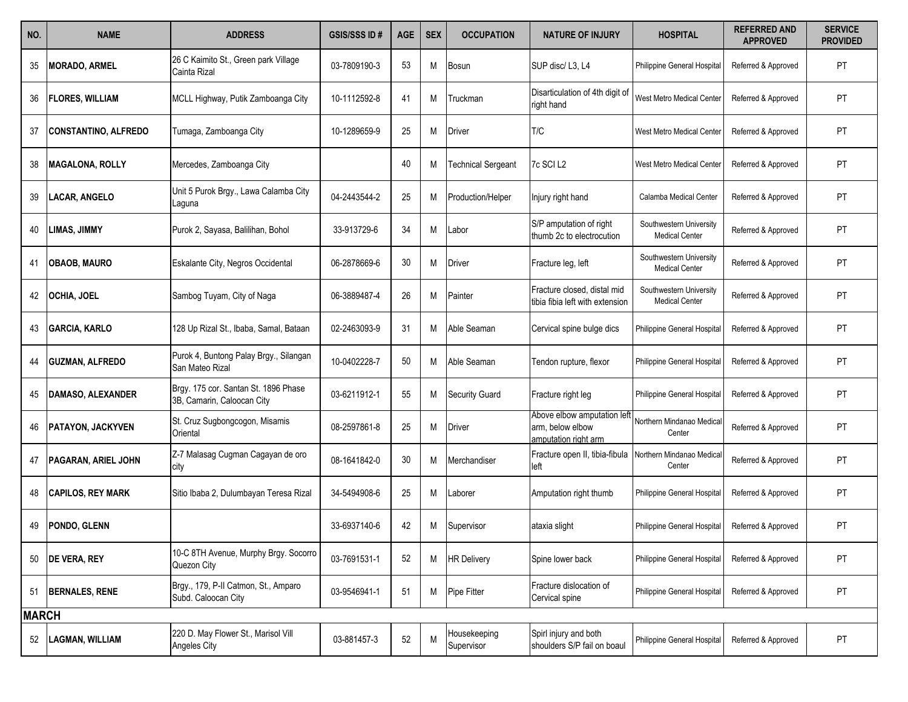| NO.          | <b>NAME</b>                 | <b>ADDRESS</b>                                                     | <b>GSIS/SSS ID#</b> | <b>AGE</b> | <b>SEX</b> | <b>OCCUPATION</b>          | <b>NATURE OF INJURY</b>                                                 | <b>HOSPITAL</b>                                  | <b>REFERRED AND</b><br><b>APPROVED</b> | <b>SERVICE</b><br><b>PROVIDED</b> |
|--------------|-----------------------------|--------------------------------------------------------------------|---------------------|------------|------------|----------------------------|-------------------------------------------------------------------------|--------------------------------------------------|----------------------------------------|-----------------------------------|
| 35           | <b>MORADO, ARMEL</b>        | 26 C Kaimito St., Green park Village<br>Cainta Rizal               | 03-7809190-3        | 53         | M          | <b>Bosun</b>               | SUP disc/L3, L4                                                         | Philippine General Hospital                      | Referred & Approved                    | PT                                |
| 36           | <b>FLORES, WILLIAM</b>      | MCLL Highway, Putik Zamboanga City                                 | 10-1112592-8        | 41         | M          | Truckman                   | Disarticulation of 4th digit of<br>right hand                           | West Metro Medical Center                        | Referred & Approved                    | PT                                |
| 37           | <b>CONSTANTINO, ALFREDO</b> | Tumaga, Zamboanga City                                             | 10-1289659-9        | 25         | M          | Driver                     | T/C                                                                     | West Metro Medical Center                        | Referred & Approved                    | PT                                |
| 38           | <b>MAGALONA, ROLLY</b>      | Mercedes, Zamboanga City                                           |                     | 40         | Μ          | <b>Technical Sergeant</b>  | 7c SCI L2                                                               | West Metro Medical Center                        | Referred & Approved                    | PT                                |
| 39           | <b>LACAR, ANGELO</b>        | Unit 5 Purok Brgy., Lawa Calamba City<br>Laguna                    | 04-2443544-2        | 25         | Μ          | Production/Helper          | Injury right hand                                                       | Calamba Medical Center                           | Referred & Approved                    | PT                                |
| 40           | <b>LIMAS, JIMMY</b>         | Purok 2, Sayasa, Balilihan, Bohol                                  | 33-913729-6         | 34         | Μ          | Labor                      | S/P amputation of right<br>thumb 2c to electrocution                    | Southwestern University<br><b>Medical Center</b> | Referred & Approved                    | PT                                |
| 41           | <b>OBAOB, MAURO</b>         | Eskalante City, Negros Occidental                                  | 06-2878669-6        | 30         | M          | Driver                     | Fracture leg, left                                                      | Southwestern University<br><b>Medical Center</b> | Referred & Approved                    | PT                                |
| 42           | <b>OCHIA, JOEL</b>          | Sambog Tuyam, City of Naga                                         | 06-3889487-4        | 26         | Μ          | Painter                    | Fracture closed, distal mid<br>tibia fibia left with extension          | Southwestern University<br><b>Medical Center</b> | Referred & Approved                    | PT                                |
| 43           | <b>GARCIA, KARLO</b>        | 128 Up Rizal St., Ibaba, Samal, Bataan                             | 02-2463093-9        | 31         | Μ          | Able Seaman                | Cervical spine bulge dics                                               | Philippine General Hospital                      | Referred & Approved                    | PT                                |
| 44           | <b>GUZMAN, ALFREDO</b>      | Purok 4, Buntong Palay Brgy., Silangan<br>San Mateo Rizal          | 10-0402228-7        | 50         | М          | Able Seaman                | Tendon rupture, flexor                                                  | Philippine General Hospital                      | Referred & Approved                    | PT                                |
| 45           | DAMASO, ALEXANDER           | Brgy. 175 cor. Santan St. 1896 Phase<br>3B, Camarin, Caloocan City | 03-6211912-1        | 55         | Μ          | <b>Security Guard</b>      | Fracture right leg                                                      | Philippine General Hospital                      | Referred & Approved                    | PT                                |
|              | <b>PATAYON, JACKYVEN</b>    | St. Cruz Sugbongcogon, Misamis<br>Oriental                         | 08-2597861-8        | 25         | Μ          | Driver                     | Above elbow amputation left<br>arm, below elbow<br>amputation right arm | Northern Mindanao Medica<br>Center               | Referred & Approved                    | PT                                |
| 47           | <b>PAGARAN, ARIEL JOHN</b>  | Z-7 Malasag Cugman Cagayan de oro<br>city                          | 08-1641842-0        | 30         | Μ          | Merchandiser               | Fracture open II, tibia-fibula<br>left                                  | Northern Mindanao Medica<br>Center               | Referred & Approved                    | PT                                |
| 48           | <b>CAPILOS, REY MARK</b>    | Sitio Ibaba 2, Dulumbayan Teresa Rizal                             | 34-5494908-6        | 25         | Μ          | _aborer                    | Amputation right thumb                                                  | Philippine General Hospital                      | Referred & Approved                    | PT                                |
| 49           | PONDO, GLENN                |                                                                    | 33-6937140-6        | 42         | Μ          | Supervisor                 | ataxia slight                                                           | Philippine General Hospital                      | Referred & Approved                    | PT                                |
| 50           | <b>DE VERA, REY</b>         | 10-C 8TH Avenue, Murphy Brgy. Socorro<br>Quezon City               | 03-7691531-1        | 52         | M          | <b>HR Delivery</b>         | Spine lower back                                                        | Philippine General Hospital                      | Referred & Approved                    | PT                                |
|              | 51 BERNALES, RENE           | Brgy., 179, P-II Catmon, St., Amparo<br>Subd. Caloocan City        | 03-9546941-1        | 51         | M          | Pipe Fitter                | Fracture dislocation of<br>Cervical spine                               | Philippine General Hospital                      | Referred & Approved                    | PT                                |
| <b>MARCH</b> |                             |                                                                    |                     |            |            |                            |                                                                         |                                                  |                                        |                                   |
| 52           | <b>LAGMAN, WILLIAM</b>      | 220 D. May Flower St., Marisol Vill<br>Angeles City                | 03-881457-3         | 52         | M          | Housekeeping<br>Supervisor | Spirl injury and both<br>shoulders S/P fail on boaul                    | Philippine General Hospital                      | Referred & Approved                    | PT                                |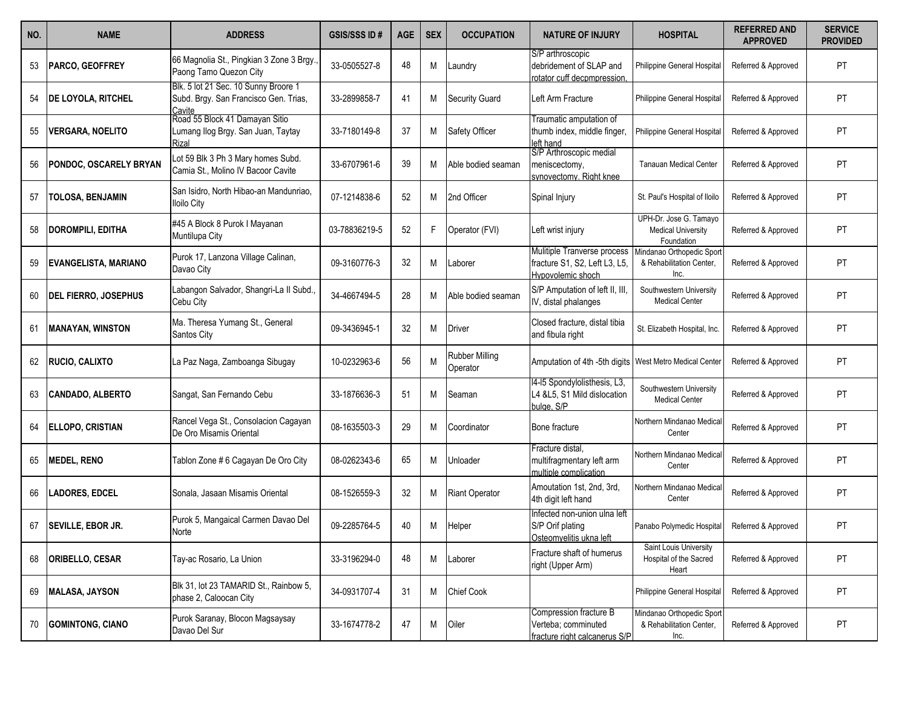| NO. | <b>NAME</b>                 | <b>ADDRESS</b>                                                                          | <b>GSIS/SSS ID#</b> | <b>AGE</b> | <b>SEX</b> | <b>OCCUPATION</b>                 | <b>NATURE OF INJURY</b>                                                           | <b>HOSPITAL</b>                                                   | <b>REFERRED AND</b><br><b>APPROVED</b> | <b>SERVICE</b><br><b>PROVIDED</b> |
|-----|-----------------------------|-----------------------------------------------------------------------------------------|---------------------|------------|------------|-----------------------------------|-----------------------------------------------------------------------------------|-------------------------------------------------------------------|----------------------------------------|-----------------------------------|
| 53  | PARCO, GEOFFREY             | 66 Magnolia St., Pingkian 3 Zone 3 Brgy.,<br>Paong Tamo Quezon City                     | 33-0505527-8        | 48         | М          | Laundry                           | S/P arthroscopic<br>debridement of SLAP and<br>rotator cuff decompression.        | Philippine General Hospital                                       | Referred & Approved                    | <b>PT</b>                         |
| 54  | <b>DE LOYOLA, RITCHEL</b>   | Blk. 5 lot 21 Sec. 10 Sunny Broore 1<br>Subd. Brgy. San Francisco Gen. Trias,<br>Cavite | 33-2899858-7        | 41         | Μ          | <b>Security Guard</b>             | eft Arm Fracture                                                                  | Philippine General Hospital                                       | Referred & Approved                    | PT                                |
| 55  | <b>VERGARA, NOELITO</b>     | Road 55 Block 41 Damayan Sitio<br>Lumang Ilog Brgy. San Juan, Taytay<br>Rizal           | 33-7180149-8        | 37         | М          | Safety Officer                    | Fraumatic amputation of<br>thumb index, middle finger,<br>eft hand                | Philippine General Hospital                                       | Referred & Approved                    | PT                                |
| 56  | PONDOC, OSCARELY BRYAN      | Lot 59 Blk 3 Ph 3 Mary homes Subd.<br>Camia St., Molino IV Bacoor Cavite                | 33-6707961-6        | 39         | М          | Able bodied seaman                | S/P Arthroscopic medial<br>meniscectomy,<br>synovectomy. Right knee               | <b>Tanauan Medical Center</b>                                     | Referred & Approved                    | PT                                |
| 57  | TOLOSA, BENJAMIN            | San Isidro, North Hibao-an Mandunriao,<br><b>Iloilo City</b>                            | 07-1214838-6        | 52         | М          | 2nd Officer                       | Spinal Injury                                                                     | St. Paul's Hospital of Iloilo                                     | Referred & Approved                    | PT                                |
| 58  | <b>DOROMPILI, EDITHA</b>    | #45 A Block 8 Purok I Mayanan<br>Muntilupa City                                         | 03-78836219-5       | 52         | F          | Operator (FVI)                    | Left wrist injury                                                                 | UPH-Dr. Jose G. Tamayo<br><b>Medical University</b><br>Foundation | Referred & Approved                    | PT                                |
| 59  | <b>EVANGELISTA, MARIANO</b> | Purok 17, Lanzona Village Calinan,<br>Davao City                                        | 09-3160776-3        | 32         | М          | Laborer                           | Mulitiple Tranverse process<br>fracture S1, S2, Left L3, L5,<br>Hypovolemic shoch | Mindanao Orthopedic Sport<br>& Rehabilitation Center,<br>Inc.     | Referred & Approved                    | PT                                |
| 60  | <b>DEL FIERRO, JOSEPHUS</b> | Labangon Salvador, Shangri-La II Subd.,<br>Cebu City                                    | 34-4667494-5        | 28         | М          | Able bodied seaman                | S/P Amputation of left II, III,<br>IV, distal phalanges                           | Southwestern University<br><b>Medical Center</b>                  | Referred & Approved                    | PT                                |
| -61 | <b>MANAYAN, WINSTON</b>     | Ma. Theresa Yumang St., General<br>Santos City                                          | 09-3436945-1        | 32         | М          | Driver                            | Closed fracture, distal tibia<br>and fibula right                                 | St. Elizabeth Hospital, Inc.                                      | Referred & Approved                    | PT                                |
| 62  | RUCIO, CALIXTO              | La Paz Naga, Zamboanga Sibugay                                                          | 10-0232963-6        | 56         |            | <b>Rubber Milling</b><br>Operator | Amputation of 4th -5th digits West Metro Medical Center                           |                                                                   | Referred & Approved                    | <b>PT</b>                         |
| 63  | <b>CANDADO, ALBERTO</b>     | Sangat, San Fernando Cebu                                                               | 33-1876636-3        | 51         | M          | Seaman                            | 4-15 Spondylolisthesis, L3,<br>L4 & L5, S1 Mild dislocation<br>bulge, S/P         | Southwestern University<br><b>Medical Center</b>                  | Referred & Approved                    | PT                                |
| 64  | <b>ELLOPO, CRISTIAN</b>     | Rancel Vega St., Consolacion Cagayan<br>De Oro Misamis Oriental                         | 08-1635503-3        | 29         | М          | Coordinator                       | Bone fracture                                                                     | Northern Mindanao Medica<br>Center                                | Referred & Approved                    | PT                                |
| 65  | <b>MEDEL, RENO</b>          | Tablon Zone #6 Cagayan De Oro City                                                      | 08-0262343-6        | 65         | М          | Unloader                          | Fracture distal,<br>multifragmentary left arm<br>multiple complication            | Northern Mindanao Medica<br>Center                                | Referred & Approved                    | PT                                |
| 66  | <b>LADORES, EDCEL</b>       | Sonala, Jasaan Misamis Oriental                                                         | 08-1526559-3        | 32         | М          | <b>Riant Operator</b>             | Amoutation 1st, 2nd, 3rd,<br>4th digit left hand                                  | Northern Mindanao Medica<br>Center                                | Referred & Approved                    | PT                                |
| 67  | <b>SEVILLE, EBOR JR.</b>    | Purok 5, Mangaical Carmen Davao Del<br>Norte                                            | 09-2285764-5        | 40         | М          | Helper                            | nfected non-union ulna left<br>S/P Orif plating<br>Osteomvelitis ukna left        | Panabo Polymedic Hospital                                         | Referred & Approved                    | PT                                |
| 68  | <b>ORIBELLO, CESAR</b>      | Tay-ac Rosario, La Union                                                                | 33-3196294-0        | 48         | Μ          | Laborer                           | Fracture shaft of humerus<br>right (Upper Arm)                                    | Saint Louis University<br>Hospital of the Sacred<br>Heart         | Referred & Approved                    | PT                                |
| 69  | <b>MALASA, JAYSON</b>       | Blk 31, lot 23 TAMARID St., Rainbow 5,<br>phase 2, Caloocan City                        | 34-0931707-4        | 31         | Μ          | <b>Chief Cook</b>                 |                                                                                   | Philippine General Hospital                                       | Referred & Approved                    | PT                                |
| 70  | <b>GOMINTONG, CIANO</b>     | Purok Saranay, Blocon Magsaysay<br>Davao Del Sur                                        | 33-1674778-2        | 47         | Μ          | Oiler                             | Compression fracture B<br>Verteba; comminuted<br>fracture right calcanerus S/P    | Mindanao Orthopedic Sport<br>& Rehabilitation Center,<br>Inc.     | Referred & Approved                    | PT                                |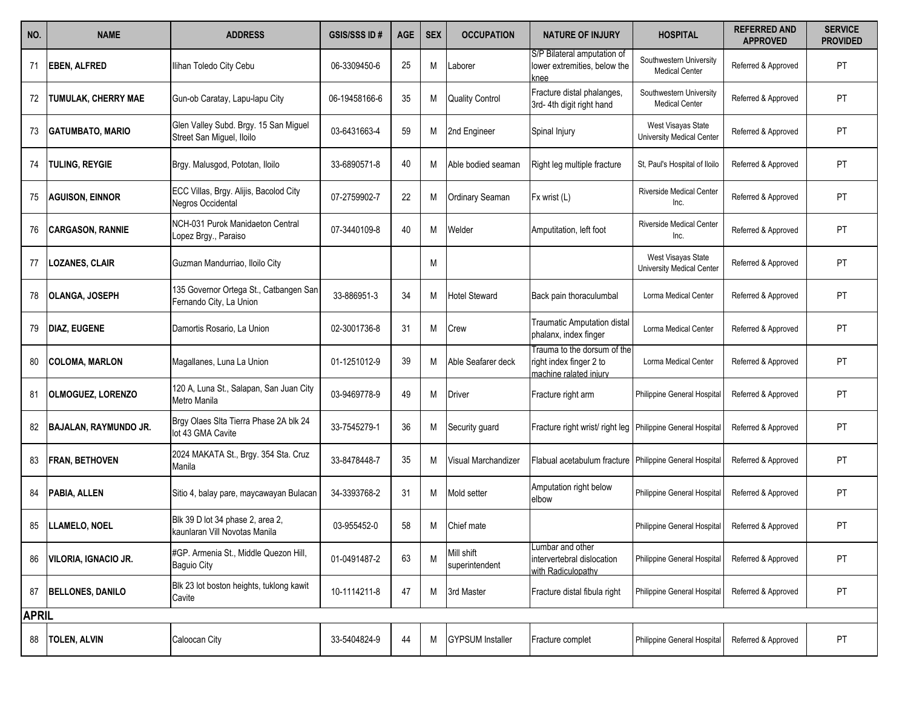| NO.          | <b>NAME</b>                  | <b>ADDRESS</b>                                                     | <b>GSIS/SSS ID#</b> | <b>AGE</b> | <b>SEX</b> | <b>OCCUPATION</b>            | <b>NATURE OF INJURY</b>                                                          | <b>HOSPITAL</b>                                  | <b>REFERRED AND</b><br><b>APPROVED</b> | <b>SERVICE</b><br><b>PROVIDED</b> |
|--------------|------------------------------|--------------------------------------------------------------------|---------------------|------------|------------|------------------------------|----------------------------------------------------------------------------------|--------------------------------------------------|----------------------------------------|-----------------------------------|
| 71           | <b>EBEN, ALFRED</b>          | Ilihan Toledo City Cebu                                            | 06-3309450-6        | 25         | M          | Laborer                      | S/P Bilateral amputation of<br>lower extremities, below the<br>mee               | Southwestern University<br><b>Medical Center</b> | Referred & Approved                    | PT                                |
| 72           | <b>TUMULAK, CHERRY MAE</b>   | Gun-ob Caratay, Lapu-lapu City                                     | 06-19458166-6       | 35         | Μ          | <b>Quality Control</b>       | Fracture distal phalanges,<br>3rd- 4th digit right hand                          | Southwestern University<br><b>Medical Center</b> | Referred & Approved                    | PT                                |
| 73           | <b>GATUMBATO, MARIO</b>      | Glen Valley Subd. Brgy. 15 San Miguel<br>Street San Miguel, Iloilo | 03-6431663-4        | 59         | М          | 2nd Engineer                 | Spinal Injury                                                                    | West Visayas State<br>University Medical Center  | Referred & Approved                    | PT                                |
| 74           | <b>TULING, REYGIE</b>        | Brgy. Malusgod, Pototan, Iloilo                                    | 33-6890571-8        | 40         | М          | Able bodied seaman           | Right leg multiple fracture                                                      | St. Paul's Hospital of Iloilo                    | Referred & Approved                    | PT                                |
| 75           | <b>AGUISON, EINNOR</b>       | ECC Villas, Brgy. Alijis, Bacolod City<br>Negros Occidental        | 07-2759902-7        | 22         | M          | <b>Ordinary Seaman</b>       | Fx wrist (L)                                                                     | <b>Riverside Medical Center</b><br>Inc.          | Referred & Approved                    | PT                                |
| 76           | <b>CARGASON, RANNIE</b>      | NCH-031 Purok Manidaeton Central<br>Lopez Brgy., Paraiso           | 07-3440109-8        | 40         | М          | Welder                       | Amputitation, left foot                                                          | <b>Riverside Medical Center</b><br>Inc.          | Referred & Approved                    | PT                                |
| 77           | <b>LOZANES, CLAIR</b>        | Guzman Mandurriao, Iloilo City                                     |                     |            | М          |                              |                                                                                  | West Visayas State<br>University Medical Center  | Referred & Approved                    | PT                                |
| 78           | <b>OLANGA, JOSEPH</b>        | 135 Governor Ortega St., Catbangen San<br>Fernando City, La Union  | 33-886951-3         | 34         | М          | <b>Hotel Steward</b>         | Back pain thoraculumbal                                                          | Lorma Medical Center                             | Referred & Approved                    | PT                                |
| 79           | <b>DIAZ, EUGENE</b>          | Damortis Rosario, La Union                                         | 02-3001736-8        | 31         | М          | Crew                         | <b>Traumatic Amputation distal</b><br>phalanx, index finger                      | Lorma Medical Center                             | Referred & Approved                    | PT                                |
| 80           | <b>COLOMA, MARLON</b>        | Magallanes, Luna La Union                                          | 01-1251012-9        | 39         | M          | Able Seafarer deck           | Trauma to the dorsum of the<br>right index finger 2 to<br>machine ralated iniury | Lorma Medical Center                             | Referred & Approved                    | PT                                |
| 81           | <b>OLMOGUEZ, LORENZO</b>     | 120 A, Luna St., Salapan, San Juan City<br>Metro Manila            | 03-9469778-9        | 49         | Μ          | Driver                       | Fracture right arm                                                               | Philippine General Hospital                      | Referred & Approved                    | PT                                |
|              | <b>BAJALAN, RAYMUNDO JR.</b> | Brgy Olaes Sita Tierra Phase 2A blk 24<br>lot 43 GMA Cavite        | 33-7545279-1        | 36         | М          | Security guard               | Fracture right wrist/ right leg Philippine General Hospital                      |                                                  | Referred & Approved                    | PT                                |
| 83           | <b>FRAN, BETHOVEN</b>        | 2024 MAKATA St., Brgy. 354 Sta. Cruz<br>Manila                     | 33-8478448-7        | 35         | М          | Visual Marchandizer          | Flabual acetabulum fracture Philippine General Hospital                          |                                                  | Referred & Approved                    | PT                                |
| 84           | PABIA, ALLEN                 | Sitio 4, balay pare, maycawayan Bulacan                            | 34-3393768-2        | 31         | М          | Mold setter                  | Amputation right below<br>elbow                                                  | Philippine General Hospital                      | Referred & Approved                    | PT                                |
| 85           | LLAMELO, NOEL                | Blk 39 D lot 34 phase 2, area 2,<br>kaunlaran Vill Novotas Manila  | 03-955452-0         | 58         | М          | Chief mate                   |                                                                                  | Philippine General Hospital                      | Referred & Approved                    | PT                                |
| 86           | <b>VILORIA, IGNACIO JR.</b>  | #GP. Armenia St., Middle Quezon Hill,<br><b>Baguio City</b>        | 01-0491487-2        | 63         | M          | Mill shift<br>superintendent | Lumbar and other<br>intervertebral dislocation<br>with Radiculopathy             | Philippine General Hospital                      | Referred & Approved                    | PT                                |
| 87           | <b>BELLONES, DANILO</b>      | Blk 23 lot boston heights, tuklong kawit<br>Cavite                 | 10-1114211-8        | 47         | Μ          | 3rd Master                   | Fracture distal fibula right                                                     | Philippine General Hospital                      | Referred & Approved                    | PT                                |
| <b>APRIL</b> |                              |                                                                    |                     |            |            |                              |                                                                                  |                                                  |                                        |                                   |
| 88           | <b>TOLEN, ALVIN</b>          | Caloocan City                                                      | 33-5404824-9        | 44         | M          | <b>GYPSUM</b> Installer      | Fracture complet                                                                 | Philippine General Hospital                      | Referred & Approved                    | PT                                |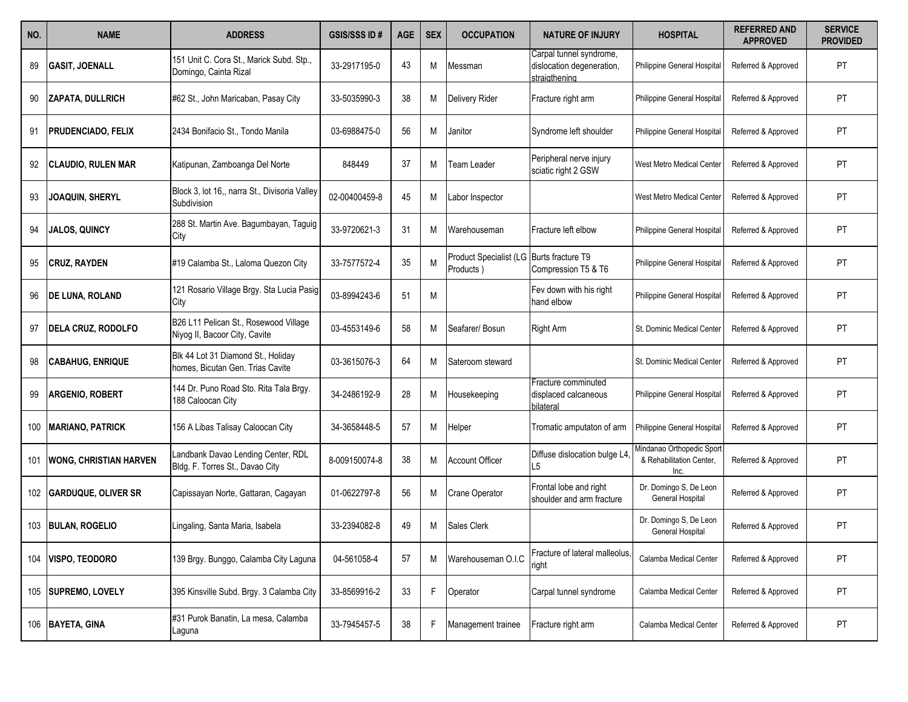| NO. | <b>NAME</b>                   | <b>ADDRESS</b>                                                         | <b>GSIS/SSS ID#</b> | <b>AGE</b> | <b>SEX</b> | <b>OCCUPATION</b>                   | <b>NATURE OF INJURY</b>                                               | <b>HOSPITAL</b>                                               | <b>REFERRED AND</b><br><b>APPROVED</b> | <b>SERVICE</b><br><b>PROVIDED</b> |
|-----|-------------------------------|------------------------------------------------------------------------|---------------------|------------|------------|-------------------------------------|-----------------------------------------------------------------------|---------------------------------------------------------------|----------------------------------------|-----------------------------------|
| 89  | <b>GASIT, JOENALL</b>         | 151 Unit C. Cora St., Marick Subd. Stp.,<br>Domingo, Cainta Rizal      | 33-2917195-0        | 43         | М          | Messman                             | Carpal tunnel syndrome,<br>dislocation degeneration,<br>straigthening | <b>Philippine General Hospital</b>                            | Referred & Approved                    | PT                                |
| 90  | <b>ZAPATA, DULLRICH</b>       | #62 St., John Maricaban, Pasay City                                    | 33-5035990-3        | 38         | Μ          | Delivery Rider                      | Fracture right arm                                                    | Philippine General Hospital                                   | Referred & Approved                    | <b>PT</b>                         |
| 91  | <b>PRUDENCIADO, FELIX</b>     | 2434 Bonifacio St., Tondo Manila                                       | 03-6988475-0        | 56         | М          | Janitor                             | Syndrome left shoulder                                                | Philippine General Hospital                                   | Referred & Approved                    | PT                                |
|     | <b>CLAUDIO, RULEN MAR</b>     | Katipunan, Zamboanga Del Norte                                         | 848449              | 37         | М          | Team Leader                         | Peripheral nerve injury<br>sciatic right 2 GSW                        | West Metro Medical Center                                     | Referred & Approved                    | PT                                |
| 93  | <b>JOAQUIN, SHERYL</b>        | Block 3, lot 16,, narra St., Divisoria Valley<br>Subdivision           | 02-00400459-8       | 45         | M          | Labor Inspector                     |                                                                       | West Metro Medical Center                                     | Referred & Approved                    | PT                                |
| 94  | <b>JALOS, QUINCY</b>          | 288 St. Martin Ave. Bagumbayan, Taguig<br>City                         | 33-9720621-3        | 31         | М          | Warehouseman                        | Fracture left elbow                                                   | Philippine General Hospital                                   | Referred & Approved                    | PT                                |
| 95  | <b>CRUZ, RAYDEN</b>           | #19 Calamba St., Laloma Quezon City                                    | 33-7577572-4        | 35         | M          | Product Specialist (LG<br>Products) | Burts fracture T9<br>Compression T5 & T6                              | Philippine General Hospital                                   | Referred & Approved                    | PT                                |
| 96  | <b>DE LUNA, ROLAND</b>        | 121 Rosario Village Brgy. Sta Lucia Pasig<br>City                      | 03-8994243-6        | 51         | M          |                                     | Fev down with his right<br>hand elbow                                 | Philippine General Hospital                                   | Referred & Approved                    | PT                                |
| 97  | <b>DELA CRUZ, RODOLFO</b>     | B26 L11 Pelican St., Rosewood Village<br>Niyog II, Bacoor City, Cavite | 03-4553149-6        | 58         | М          | Seafarer/Bosun                      | <b>Right Arm</b>                                                      | St. Dominic Medical Center                                    | Referred & Approved                    | <b>PT</b>                         |
| 98  | <b>CABAHUG, ENRIQUE</b>       | Blk 44 Lot 31 Diamond St., Holiday<br>homes, Bicutan Gen. Trias Cavite | 03-3615076-3        | 64         | М          | Sateroom steward                    |                                                                       | St. Dominic Medical Center                                    | Referred & Approved                    | <b>PT</b>                         |
| 99  | ARGENIO, ROBERT               | 144 Dr. Puno Road Sto. Rita Tala Brgy.<br>188 Caloocan City            | 34-2486192-9        | 28         | Μ          | Housekeeping                        | Fracture comminuted<br>displaced calcaneous<br>bilateral              | Philippine General Hospital                                   | Referred & Approved                    | <b>PT</b>                         |
| 100 | <b>MARIANO, PATRICK</b>       | 156 A Libas Talisay Caloocan City                                      | 34-3658448-5        | 57         | м          | Helper                              | Tromatic amputaton of arm                                             | Philippine General Hospital                                   | Referred & Approved                    | <b>PT</b>                         |
| 101 | <b>WONG, CHRISTIAN HARVEN</b> | Landbank Davao Lending Center, RDL<br>Bldg. F. Torres St., Davao City  | 8-009150074-8       | 38         | Μ          | <b>Account Officer</b>              | Diffuse dislocation bulge L4<br>L <sub>5</sub>                        | Mindanao Orthopedic Sport<br>& Rehabilitation Center,<br>Inc. | Referred & Approved                    | PT                                |
|     | <b>GARDUQUE, OLIVER SR</b>    | Capissayan Norte, Gattaran, Cagayan                                    | 01-0622797-8        | 56         | M          | <b>Crane Operator</b>               | Frontal lobe and right<br>shoulder and arm fracture                   | Dr. Domingo S, De Leon<br>General Hospital                    | Referred & Approved                    | PT                                |
| 103 | <b>BULAN, ROGELIO</b>         | Lingaling, Santa Maria, Isabela                                        | 33-2394082-8        | 49         | Μ          | Sales Clerk                         |                                                                       | Dr. Domingo S, De Leon<br>General Hospital                    | Referred & Approved                    | PT                                |
| 104 | <b>VISPO, TEODORO</b>         | 139 Brgy. Bunggo, Calamba City Laguna                                  | 04-561058-4         | 57         | M          | Warehouseman O.I.C                  | Fracture of lateral malleolus,<br>right                               | Calamba Medical Center                                        | Referred & Approved                    | PT                                |
|     | 105 SUPREMO, LOVELY           | 395 Kinsville Subd. Brgy. 3 Calamba City                               | 33-8569916-2        | 33         | F          | Operator                            | Carpal tunnel syndrome                                                | Calamba Medical Center                                        | Referred & Approved                    | PT                                |
|     | 106 BAYETA, GINA              | #31 Purok Banatin, La mesa, Calamba<br>Laguna                          | 33-7945457-5        | 38         |            | Management trainee                  | Fracture right arm                                                    | Calamba Medical Center                                        | Referred & Approved                    | PT                                |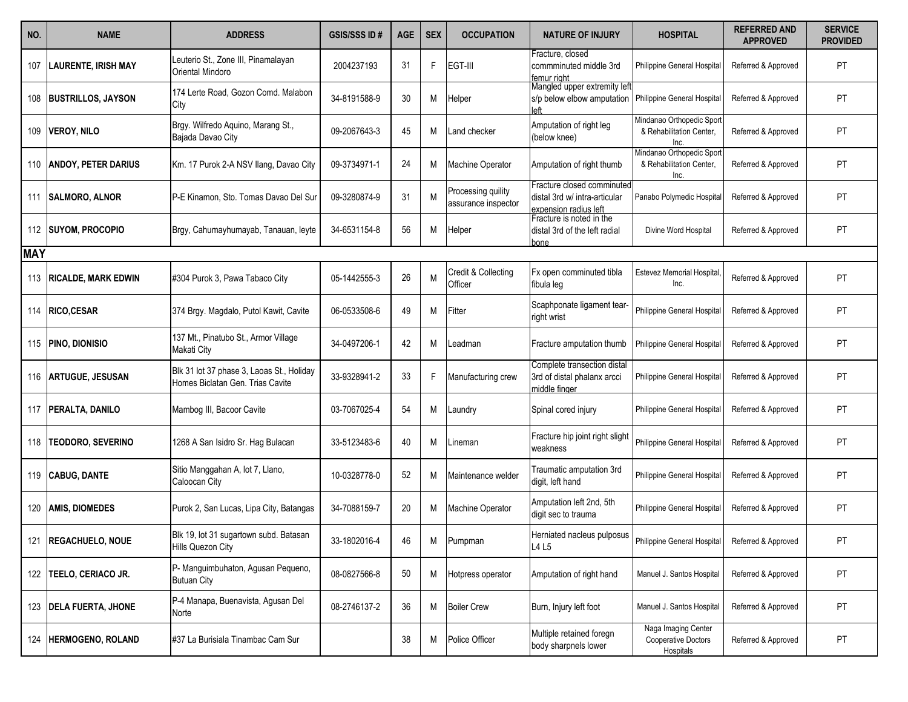| NO.        | <b>NAME</b>                | <b>ADDRESS</b>                                                                | <b>GSIS/SSS ID#</b> | <b>AGE</b> | <b>SEX</b> | <b>OCCUPATION</b>                         | <b>NATURE OF INJURY</b>                                                              | <b>HOSPITAL</b>                                               | <b>REFERRED AND</b><br><b>APPROVED</b> | <b>SERVICE</b><br><b>PROVIDED</b> |
|------------|----------------------------|-------------------------------------------------------------------------------|---------------------|------------|------------|-------------------------------------------|--------------------------------------------------------------------------------------|---------------------------------------------------------------|----------------------------------------|-----------------------------------|
| 107        | <b>LAURENTE, IRISH MAY</b> | Leuterio St., Zone III, Pinamalayan<br><b>Oriental Mindoro</b>                | 2004237193          | 31         | F          | EGT-III                                   | Fracture, closed<br>commminuted middle 3rd<br>femur riaht                            | Philippine General Hospital                                   | Referred & Approved                    | PT                                |
| 108        | <b>IBUSTRILLOS, JAYSON</b> | 174 Lerte Road, Gozon Comd. Malabon<br>City                                   | 34-8191588-9        | 30         | Μ          | Helper                                    | Mangled upper extremity left<br>s/p below elbow amputation                           | Philippine General Hospital                                   | Referred & Approved                    | PT                                |
| 109        | <b>VEROY, NILO</b>         | Brgy. Wilfredo Aquino, Marang St.,<br>Bajada Davao City                       | 09-2067643-3        | 45         | М          | Land checker                              | Amputation of right leg<br>(below knee)                                              | Mindanao Orthopedic Sport<br>& Rehabilitation Center,<br>Inc. | Referred & Approved                    | <b>PT</b>                         |
| 110        | <b>ANDOY, PETER DARIUS</b> | Km. 17 Purok 2-A NSV Ilang, Davao City                                        | 09-3734971-1        | 24         | М          | <b>Machine Operator</b>                   | Amputation of right thumb                                                            | Mindanao Orthopedic Sport<br>& Rehabilitation Center,<br>Inc. | Referred & Approved                    | PT                                |
|            | 111   SALMORO, ALNOR       | P-E Kinamon, Sto. Tomas Davao Del Sur                                         | 09-3280874-9        | 31         |            | Processing quility<br>assurance inspector | Fracture closed comminuted<br>distal 3rd w/ intra-articular<br>expension radius left | Panabo Polymedic Hospita                                      | Referred & Approved                    | <b>PT</b>                         |
|            | 112 SUYOM, PROCOPIO        | Brgy, Cahumayhumayab, Tanauan, leyte                                          | 34-6531154-8        | 56         | Μ          | Helper                                    | Fracture is noted in the<br>distal 3rd of the left radial<br>bone                    | Divine Word Hospital                                          | Referred & Approved                    | PT                                |
| <b>MAY</b> |                            |                                                                               |                     |            |            |                                           |                                                                                      |                                                               |                                        |                                   |
|            | 113 RICALDE, MARK EDWIN    | #304 Purok 3, Pawa Tabaco City                                                | 05-1442555-3        | 26         | M          | Credit & Collecting<br>Officer            | Fx open comminuted tibla<br>fibula leg                                               | <b>Estevez Memorial Hospital</b><br>Inc.                      | Referred & Approved                    | PT                                |
|            | 114   RICO, CESAR          | 374 Brgy. Magdalo, Putol Kawit, Cavite                                        | 06-0533508-6        | 49         | М          | Fitter                                    | Scaphponate ligament tear-<br>ight wrist                                             | Philippine General Hospital                                   | Referred & Approved                    | <b>PT</b>                         |
|            | 115   PINO, DIONISIO       | 137 Mt., Pinatubo St., Armor Village<br>Makati City                           | 34-0497206-1        | 42         | М          | <b>Leadman</b>                            | Fracture amputation thumb                                                            | Philippine General Hospital                                   | Referred & Approved                    | PT                                |
|            | 116   ARTUGUE, JESUSAN     | Blk 31 lot 37 phase 3, Laoas St., Holiday<br>Homes Biclatan Gen. Trias Cavite | 33-9328941-2        | 33         |            | Manufacturing crew                        | Complete transection distal<br>3rd of distal phalanx arcci<br>middle finaer          | Philippine General Hospital                                   | Referred & Approved                    | PT                                |
|            | 117   PERALTA, DANILO      | Mambog III, Bacoor Cavite                                                     | 03-7067025-4        | 54         | M          | Laundry                                   | Spinal cored injury                                                                  | Philippine General Hospital                                   | Referred & Approved                    | PT                                |
|            | 118   TEODORO, SEVERINO    | 1268 A San Isidro Sr. Hag Bulacan                                             | 33-5123483-6        | 40         | М          | Lineman                                   | Fracture hip joint right slight<br>weakness                                          | Philippine General Hospital                                   | Referred & Approved                    | PT                                |
|            | 119 CABUG, DANTE           | Sitio Manggahan A, lot 7, Llano,<br>Caloocan City                             | 10-0328778-0        | 52         | M          | Maintenance welder                        | Traumatic amputation 3rd<br>digit, left hand                                         | Philippine General Hospital                                   | Referred & Approved                    | <b>PT</b>                         |
| 120        | <b>AMIS, DIOMEDES</b>      | Purok 2, San Lucas, Lipa City, Batangas                                       | 34-7088159-7        | 20         | М          | Machine Operator                          | Amputation left 2nd, 5th<br>digit sec to trauma                                      | <b>Philippine General Hospital</b>                            | Referred & Approved                    | PT                                |
|            | 121 REGACHUELO, NOUE       | Blk 19, lot 31 sugartown subd. Batasan<br>Hills Quezon City                   | 33-1802016-4        | 46         | Μ          | Pumpman                                   | Herniated nacleus pulposus<br>L4 L5                                                  | Philippine General Hospital                                   | Referred & Approved                    | PT                                |
| 122        | <b>TEELO, CERIACO JR.</b>  | P- Manguimbuhaton, Agusan Pequeno,<br><b>Butuan City</b>                      | 08-0827566-8        | 50         | Μ          | Hotpress operator                         | Amputation of right hand                                                             | Manuel J. Santos Hospital                                     | Referred & Approved                    | PT                                |
|            | 123   DELA FUERTA, JHONE   | P-4 Manapa, Buenavista, Agusan Del<br>Norte                                   | 08-2746137-2        | 36         | М          | <b>Boiler Crew</b>                        | Burn, Injury left foot                                                               | Manuel J. Santos Hospital                                     | Referred & Approved                    | PT                                |
| 124        | <b>HERMOGENO, ROLAND</b>   | #37 La Burisiala Tinambac Cam Sur                                             |                     | 38         | Μ          | Police Officer                            | Multiple retained foregn<br>body sharpnels lower                                     | Naga Imaging Center<br>Cooperative Doctors<br>Hospitals       | Referred & Approved                    | PT                                |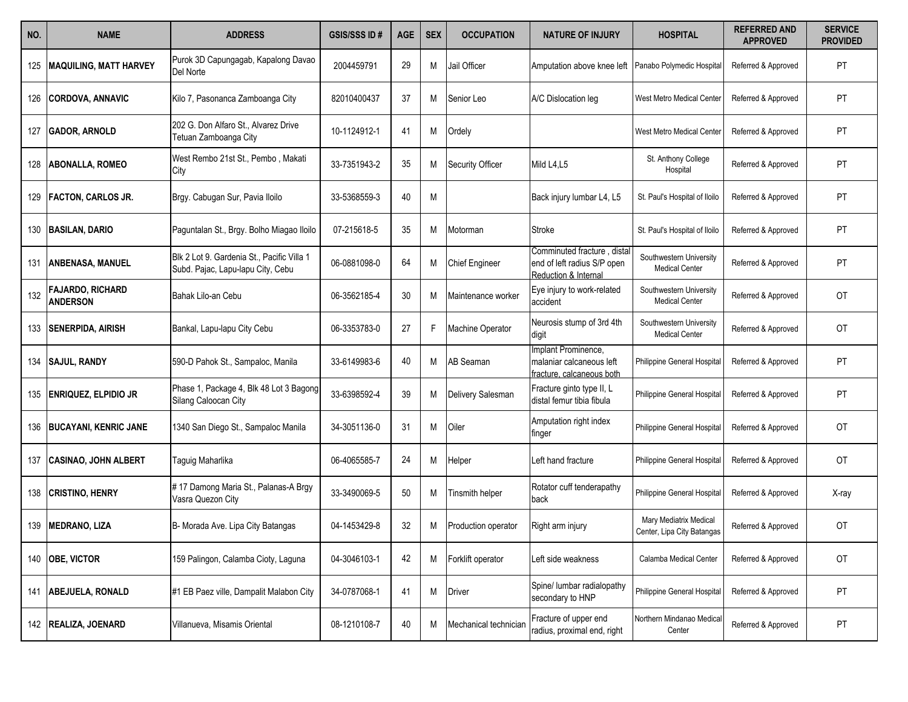| NO. | <b>NAME</b>                                | <b>ADDRESS</b>                                                                  | <b>GSIS/SSS ID#</b> | <b>AGE</b> | <b>SEX</b> | <b>OCCUPATION</b>     | <b>NATURE OF INJURY</b>                                                            | <b>HOSPITAL</b>                                      | <b>REFERRED AND</b><br><b>APPROVED</b> | <b>SERVICE</b><br><b>PROVIDED</b> |
|-----|--------------------------------------------|---------------------------------------------------------------------------------|---------------------|------------|------------|-----------------------|------------------------------------------------------------------------------------|------------------------------------------------------|----------------------------------------|-----------------------------------|
|     | 125   MAQUILING, MATT HARVEY               | Purok 3D Capungagab, Kapalong Davao<br>Del Norte                                | 2004459791          | 29         | M          | Jail Officer          | Amputation above knee left                                                         | Panabo Polymedic Hospita                             | Referred & Approved                    | PT                                |
|     | 126 CORDOVA, ANNAVIC                       | Kilo 7, Pasonanca Zamboanga City                                                | 82010400437         | 37         | Μ          | Senior Leo            | A/C Dislocation leg                                                                | West Metro Medical Center                            | Referred & Approved                    | PT                                |
| 127 | <b>GADOR, ARNOLD</b>                       | 202 G. Don Alfaro St., Alvarez Drive<br>Tetuan Zamboanga City                   | 10-1124912-1        | 41         | М          | Ordely                |                                                                                    | West Metro Medical Center                            | Referred & Approved                    | <b>PT</b>                         |
| 128 | <b>ABONALLA, ROMEO</b>                     | West Rembo 21st St., Pembo, Makati<br>City                                      | 33-7351943-2        | 35         | М          | Security Officer      | Mild L4,L5                                                                         | St. Anthony College<br>Hospital                      | Referred & Approved                    | PT                                |
|     | 129   FACTON, CARLOS JR.                   | Brgy. Cabugan Sur, Pavia Iloilo                                                 | 33-5368559-3        | 40         | М          |                       | Back injury lumbar L4, L5                                                          | St. Paul's Hospital of Iloilo                        | Referred & Approved                    | PT                                |
|     | 130 BASILAN, DARIO                         | Paguntalan St., Brgy. Bolho Miagao Iloilo                                       | 07-215618-5         | 35         | М          | Motorman              | Stroke                                                                             | St. Paul's Hospital of Iloilo                        | Referred & Approved                    | PT                                |
| 131 | <b>ANBENASA, MANUEL</b>                    | Blk 2 Lot 9. Gardenia St., Pacific Villa 1<br>Subd. Pajac, Lapu-lapu City, Cebu | 06-0881098-0        | 64         | Μ          | <b>Chief Engineer</b> | Comminuted fracture, distal<br>end of left radius S/P open<br>Reduction & Internal | Southwestern University<br><b>Medical Center</b>     | Referred & Approved                    | PT                                |
| 132 | <b>FAJARDO, RICHARD</b><br><b>ANDERSON</b> | Bahak Lilo-an Cebu                                                              | 06-3562185-4        | 30         | М          | Maintenance worker    | Eye injury to work-related<br>accident                                             | Southwestern University<br><b>Medical Center</b>     | Referred & Approved                    | <b>OT</b>                         |
|     | 133 SENERPIDA, AIRISH                      | Bankal, Lapu-lapu City Cebu                                                     | 06-3353783-0        | 27         |            | Machine Operator      | Neurosis stump of 3rd 4th<br>digit                                                 | Southwestern University<br><b>Medical Center</b>     | Referred & Approved                    | 0T                                |
|     | 134   SAJUL, RANDY                         | 590-D Pahok St., Sampaloc, Manila                                               | 33-6149983-6        | 40         | М          | <b>AB</b> Seaman      | Implant Prominence,<br>malaniar calcaneous left<br>fracture, calcaneous both       | Philippine General Hospital                          | Referred & Approved                    | PT                                |
|     | 135 <b>ENRIQUEZ, ELPIDIO JR</b>            | Phase 1, Package 4, Blk 48 Lot 3 Bagong<br>Silang Caloocan City                 | 33-6398592-4        | 39         | Μ          | Delivery Salesman     | Fracture ginto type II, L<br>distal femur tibia fibula                             | Philippine General Hospital                          | Referred & Approved                    | <b>PT</b>                         |
|     | 136   BUCAYANI, KENRIC JANE                | 1340 San Diego St., Sampaloc Manila                                             | 34-3051136-0        | 31         | М          | Oiler                 | Amputation right index<br>finger                                                   | Philippine General Hospital                          | Referred & Approved                    | 0T                                |
| 137 | <b>CASINAO, JOHN ALBERT</b>                | Taguig Maharlika                                                                | 06-4065585-7        | 24         | Μ          | Helper                | Left hand fracture                                                                 | Philippine General Hospital                          | Referred & Approved                    | <b>OT</b>                         |
|     | 138 CRISTINO, HENRY                        | #17 Damong Maria St., Palanas-A Brgy<br>Vasra Quezon City                       | 33-3490069-5        | 50         | M          | Tinsmith helper       | Rotator cuff tenderapathy<br>back                                                  | Philippine General Hospital                          | Referred & Approved                    | X-ray                             |
|     | 139 MEDRANO, LIZA                          | B- Morada Ave. Lipa City Batangas                                               | 04-1453429-8        | 32         | М          | Production operator   | Right arm injury                                                                   | Mary Mediatrix Medical<br>Center, Lipa City Batangas | Referred & Approved                    | OT                                |
|     | 140 <b>OBE, VICTOR</b>                     | 159 Palingon, Calamba Cioty, Laguna                                             | 04-3046103-1        | 42         | М          | Forklift operator     | Left side weakness                                                                 | Calamba Medical Center                               | Referred & Approved                    | OT                                |
|     | 141 ABEJUELA, RONALD                       | #1 EB Paez ville, Dampalit Malabon City                                         | 34-0787068-1        | 41         | М          | Driver                | Spine/ lumbar radialopathy<br>secondary to HNP                                     | Philippine General Hospital                          | Referred & Approved                    | PT                                |
|     | 142 REALIZA, JOENARD                       | Villanueva, Misamis Oriental                                                    | 08-1210108-7        | 40         | M          | Mechanical technician | Fracture of upper end<br>radius, proximal end, right                               | Northern Mindanao Medica<br>Center                   | Referred & Approved                    | PT                                |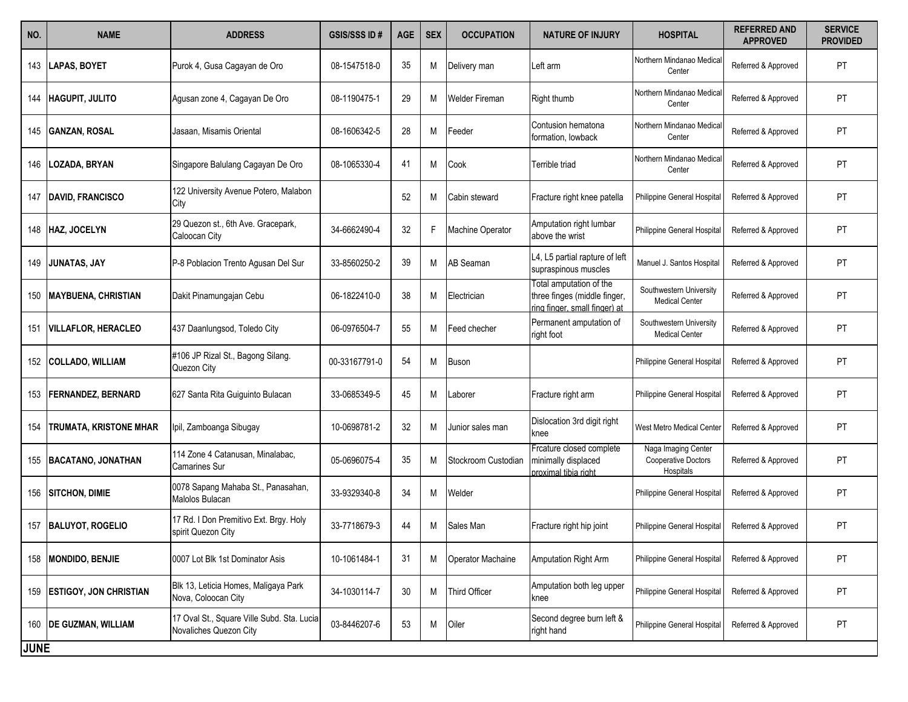| NO.         | <b>NAME</b>                   | <b>ADDRESS</b>                                                       | <b>GSIS/SSS ID#</b> | <b>AGE</b> | <b>SEX</b> | <b>OCCUPATION</b>       | <b>NATURE OF INJURY</b>                                                                 | <b>HOSPITAL</b>                                         | <b>REFERRED AND</b><br><b>APPROVED</b> | <b>SERVICE</b><br><b>PROVIDED</b> |
|-------------|-------------------------------|----------------------------------------------------------------------|---------------------|------------|------------|-------------------------|-----------------------------------------------------------------------------------------|---------------------------------------------------------|----------------------------------------|-----------------------------------|
|             | 143   LAPAS, BOYET            | Purok 4, Gusa Cagayan de Oro                                         | 08-1547518-0        | 35         | Μ          | Delivery man            | eft arm                                                                                 | Northern Mindanao Medica<br>Center                      | Referred & Approved                    | PT                                |
| 144         | <b>HAGUPIT, JULITO</b>        | Agusan zone 4, Cagayan De Oro                                        | 08-1190475-1        | 29         | М          | <b>Welder Fireman</b>   | Right thumb                                                                             | Northern Mindanao Medica<br>Center                      | Referred & Approved                    | PT                                |
| 145         | <b>GANZAN, ROSAL</b>          | Jasaan, Misamis Oriental                                             | 08-1606342-5        | 28         | М          | Feeder                  | Contusion hematona<br>formation, lowback                                                | Northern Mindanao Medica<br>Center                      | Referred & Approved                    | PT                                |
| 146         | LOZADA, BRYAN                 | Singapore Balulang Cagayan De Oro                                    | 08-1065330-4        | 41         | M          | Cook                    | Terrible triad                                                                          | Northern Mindanao Medica<br>Center                      | Referred & Approved                    | PT                                |
| 147         | <b>DAVID, FRANCISCO</b>       | 122 University Avenue Potero, Malabon<br>City                        |                     | 52         | M          | Cabin steward           | Fracture right knee patella                                                             | Philippine General Hospital                             | Referred & Approved                    | PT                                |
|             | 148 HAZ, JOCELYN              | 29 Quezon st., 6th Ave. Gracepark,<br>Caloocan City                  | 34-6662490-4        | 32         | F          | <b>Machine Operator</b> | Amputation right lumbar<br>above the wrist                                              | Philippine General Hospital                             | Referred & Approved                    | PT                                |
| 149         | <b>JUNATAS, JAY</b>           | P-8 Poblacion Trento Agusan Del Sur                                  | 33-8560250-2        | 39         | М          | <b>AB</b> Seaman        | L4, L5 partial rapture of left<br>supraspinous muscles                                  | Manuel J. Santos Hospital                               | Referred & Approved                    | PT                                |
| 150         | <b>MAYBUENA, CHRISTIAN</b>    | Dakit Pinamungajan Cebu                                              | 06-1822410-0        | 38         | Μ          | Electrician             | Total amputation of the<br>three finges (middle finger,<br>ing finger, small finger) at | Southwestern University<br><b>Medical Center</b>        | Referred & Approved                    | PT.                               |
| 151         | <b>VILLAFLOR, HERACLEO</b>    | 437 Daanlungsod, Toledo City                                         | 06-0976504-7        | 55         | M          | Feed checher            | Permanent amputation of<br>right foot                                                   | Southwestern University<br><b>Medical Center</b>        | Referred & Approved                    | PT                                |
|             | 152 COLLADO, WILLIAM          | #106 JP Rizal St., Bagong Silang.<br>Quezon City                     | 00-33167791-0       | 54         | Μ          | Buson                   |                                                                                         | Philippine General Hospital                             | Referred & Approved                    | PT                                |
|             | 153   FERNANDEZ, BERNARD      | 627 Santa Rita Guiguinto Bulacan                                     | 33-0685349-5        | 45         | М          | Laborer                 | Fracture right arm                                                                      | Philippine General Hospital                             | Referred & Approved                    | PT                                |
| 154         | <b>TRUMATA, KRISTONE MHAR</b> | Ipil, Zamboanga Sibugay                                              | 10-0698781-2        | 32         | М          | Junior sales man        | Dislocation 3rd digit right<br>knee                                                     | West Metro Medical Center                               | Referred & Approved                    | PT                                |
| 155         | BACATANO, JONATHAN            | 114 Zone 4 Catanusan, Minalabac,<br><b>Camarines Sur</b>             | 05-0696075-4        | 35         | М          | Stockroom Custodian     | Frcature closed complete<br>minimally displaced<br>proximal tibia right                 | Naga Imaging Center<br>Cooperative Doctors<br>Hospitals | Referred & Approved                    | PT                                |
| 156         | <b>SITCHON, DIMIE</b>         | 0078 Sapang Mahaba St., Panasahan,<br>Malolos Bulacan                | 33-9329340-8        | 34         | M          | Welder                  |                                                                                         | Philippine General Hospital                             | Referred & Approved                    | PT                                |
| 157         | <b>BALUYOT, ROGELIO</b>       | 17 Rd. I Don Premitivo Ext. Brgy. Holy<br>spirit Quezon City         | 33-7718679-3        | 44         | Μ          | Sales Man               | Fracture right hip joint                                                                | Philippine General Hospital                             | Referred & Approved                    | PT                                |
|             | 158 MONDIDO, BENJIE           | 0007 Lot Blk 1st Dominator Asis                                      | 10-1061484-1        | 31         | М          | Operator Machaine       | Amputation Right Arm                                                                    | Philippine General Hospital                             | Referred & Approved                    | PT                                |
| 159         | <b>ESTIGOY, JON CHRISTIAN</b> | Blk 13, Leticia Homes, Maligaya Park<br>Nova, Coloocan City          | 34-1030114-7        | 30         | М          | Third Officer           | Amputation both leg upper<br>knee                                                       | Philippine General Hospital                             | Referred & Approved                    | PT                                |
|             | 160 DE GUZMAN, WILLIAM        | 17 Oval St., Square Ville Subd. Sta. Lucia<br>Novaliches Quezon City | 03-8446207-6        | 53         | M          | Oiler                   | Second degree burn left &<br>right hand                                                 | Philippine General Hospital                             | Referred & Approved                    | PT                                |
| <b>JUNE</b> |                               |                                                                      |                     |            |            |                         |                                                                                         |                                                         |                                        |                                   |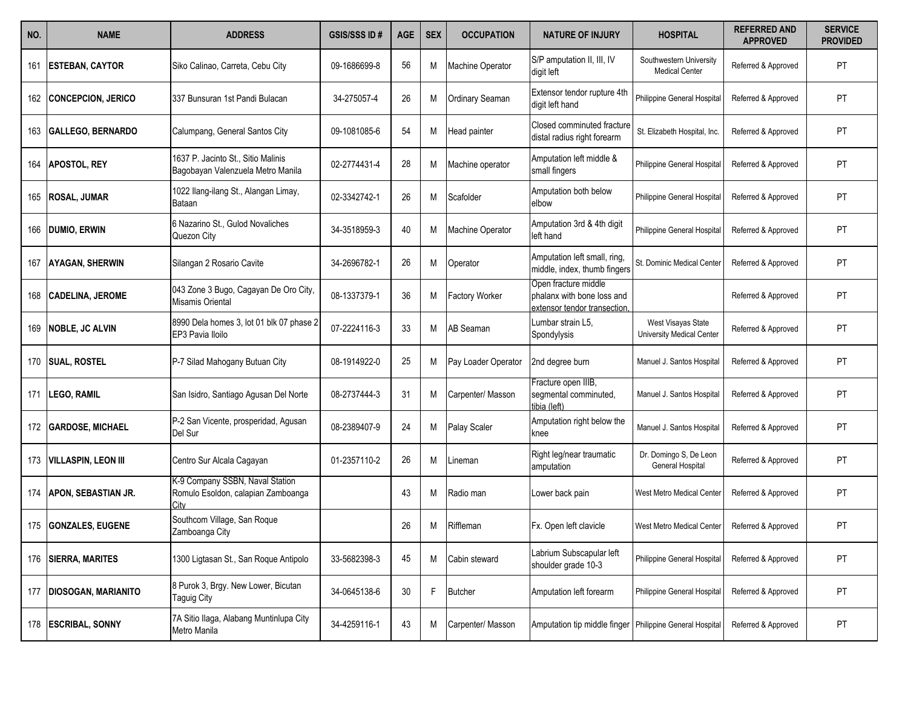| NO. | <b>NAME</b>                | <b>ADDRESS</b>                                                                | <b>GSIS/SSS ID#</b> | <b>AGE</b> | <b>SEX</b> | <b>OCCUPATION</b>      | <b>NATURE OF INJURY</b>                                                            | <b>HOSPITAL</b>                                  | <b>REFERRED AND</b><br><b>APPROVED</b> | <b>SERVICE</b><br><b>PROVIDED</b> |
|-----|----------------------------|-------------------------------------------------------------------------------|---------------------|------------|------------|------------------------|------------------------------------------------------------------------------------|--------------------------------------------------|----------------------------------------|-----------------------------------|
| 161 | <b>ESTEBAN, CAYTOR</b>     | Siko Calinao, Carreta, Cebu City                                              | 09-1686699-8        | 56         | M          | Machine Operator       | S/P amputation II, III, IV<br>digit left                                           | Southwestern University<br><b>Medical Center</b> | Referred & Approved                    | PT                                |
| 162 | CONCEPCION, JERICO         | 337 Bunsuran 1st Pandi Bulacan                                                | 34-275057-4         | 26         | Μ          | <b>Ordinary Seaman</b> | Extensor tendor rupture 4th<br>digit left hand                                     | Philippine General Hospital                      | Referred & Approved                    | PT                                |
| 163 | <b>GALLEGO, BERNARDO</b>   | Calumpang, General Santos City                                                | 09-1081085-6        | 54         | М          | Head painter           | Closed comminuted fracture<br>distal radius right forearm                          | St. Elizabeth Hospital, Inc.                     | Referred & Approved                    | PT                                |
| 164 | <b>APOSTOL, REY</b>        | 1637 P. Jacinto St., Sitio Malinis<br>Bagobayan Valenzuela Metro Manila       | 02-2774431-4        | 28         | М          | Machine operator       | Amputation left middle &<br>small fingers                                          | Philippine General Hospital                      | Referred & Approved                    | PT                                |
| 165 | <b>ROSAL, JUMAR</b>        | 1022 Ilang-ilang St., Alangan Limay,<br>Bataan                                | 02-3342742-1        | 26         | M          | Scafolder              | Amputation both below<br>elbow                                                     | Philippine General Hospital                      | Referred & Approved                    | PT                                |
| 166 | <b>DUMIO, ERWIN</b>        | 6 Nazarino St., Gulod Novaliches<br>Quezon City                               | 34-3518959-3        | 40         | М          | Machine Operator       | Amputation 3rd & 4th digit<br>left hand                                            | Philippine General Hospital                      | Referred & Approved                    | PT                                |
| 167 | <b>AYAGAN, SHERWIN</b>     | Silangan 2 Rosario Cavite                                                     | 34-2696782-1        | 26         | М          | Operator               | Amputation left small, ring,<br>middle, index, thumb fingers                       | St. Dominic Medical Center                       | Referred & Approved                    | PT                                |
| 168 | <b>CADELINA, JEROME</b>    | 043 Zone 3 Bugo, Cagayan De Oro City,<br>Misamis Oriental                     | 08-1337379-1        | 36         | М          | <b>Factory Worker</b>  | Open fracture middle<br>phalanx with bone loss and<br>extensor tendor transection. |                                                  | Referred & Approved                    | PT                                |
| 169 | <b>NOBLE, JC ALVIN</b>     | 8990 Dela homes 3, lot 01 blk 07 phase 2<br>EP3 Pavia Iloilo                  | 07-2224116-3        | 33         | М          | <b>AB</b> Seaman       | Lumbar strain L5,<br>Spondylysis                                                   | West Visayas State<br>University Medical Center  | Referred & Approved                    | PT                                |
|     | 170 SUAL, ROSTEL           | P-7 Silad Mahogany Butuan City                                                | 08-1914922-0        | 25         | М          | Pay Loader Operator    | 2nd degree burn                                                                    | Manuel J. Santos Hospital                        | Referred & Approved                    | PT                                |
| 171 | <b>LEGO, RAMIL</b>         | San Isidro, Santiago Agusan Del Norte                                         | 08-2737444-3        | 31         | М          | Carpenter/ Masson      | Fracture open IIIB,<br>segmental comminuted,<br>tibia (left)                       | Manuel J. Santos Hospital                        | Referred & Approved                    | PT                                |
|     | 172 GARDOSE, MICHAEL       | P-2 San Vicente, prosperidad, Agusan<br>Del Sur                               | 08-2389407-9        | 24         | М          | <b>Palay Scaler</b>    | Amputation right below the<br>knee                                                 | Manuel J. Santos Hospital                        | Referred & Approved                    | PT                                |
|     | 173 VILLASPIN, LEON III    | Centro Sur Alcala Cagayan                                                     | 01-2357110-2        | 26         | М          | Lineman                | Right leg/near traumatic<br>amputation                                             | Dr. Domingo S, De Leon<br>General Hospital       | Referred & Approved                    | PT                                |
|     | 174   APON, SEBASTIAN JR.  | K-9 Company SSBN, Naval Station<br>Romulo Esoldon, calapian Zamboanga<br>City |                     | 43         | M          | Radio man              | Lower back pain                                                                    | West Metro Medical Center                        | Referred & Approved                    | PT                                |
|     | 175 GONZALES, EUGENE       | Southcom Village, San Roque<br>Zamboanga City                                 |                     | 26         | М          | Riffleman              | Fx. Open left clavicle                                                             | West Metro Medical Center                        | Referred & Approved                    | PT                                |
|     | 176   SIERRA, MARITES      | 1300 Ligtasan St., San Roque Antipolo                                         | 33-5682398-3        | 45         | М          | Cabin steward          | Labrium Subscapular left<br>shoulder grade 10-3                                    | Philippine General Hospital                      | Referred & Approved                    | PT                                |
| 177 | <b>DIOSOGAN, MARIANITO</b> | 8 Purok 3, Brgy. New Lower, Bicutan<br><b>Taguig City</b>                     | 34-0645138-6        | 30         | F          | <b>Butcher</b>         | Amputation left forearm                                                            | Philippine General Hospital                      | Referred & Approved                    | PT                                |
|     | 178 ESCRIBAL, SONNY        | 7A Sitio Ilaga, Alabang Muntinlupa City<br>Metro Manila                       | 34-4259116-1        | 43         | М          | Carpenter/ Masson      | Amputation tip middle finger   Philippine General Hospital                         |                                                  | Referred & Approved                    | PT                                |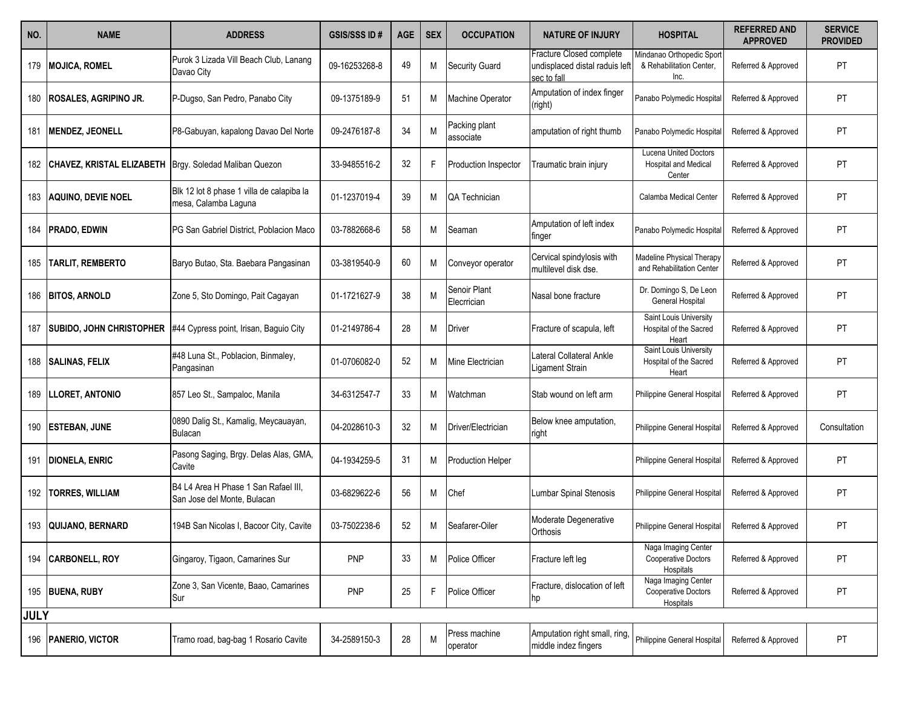| NO.         | <b>NAME</b>                      | <b>ADDRESS</b>                                                      | <b>GSIS/SSS ID#</b> | <b>AGE</b> | <b>SEX</b> | <b>OCCUPATION</b>           | <b>NATURE OF INJURY</b>                                                   | <b>HOSPITAL</b>                                                       | <b>REFERRED AND</b><br><b>APPROVED</b> | <b>SERVICE</b><br><b>PROVIDED</b> |
|-------------|----------------------------------|---------------------------------------------------------------------|---------------------|------------|------------|-----------------------------|---------------------------------------------------------------------------|-----------------------------------------------------------------------|----------------------------------------|-----------------------------------|
| 179         | <b>MOJICA, ROMEL</b>             | Purok 3 Lizada Vill Beach Club, Lanang<br>Davao City                | 09-16253268-8       | 49         | Μ          | <b>Security Guard</b>       | Fracture Closed complete<br>undisplaced distal raduis left<br>sec to fall | Mindanao Orthopedic Sport<br>& Rehabilitation Center,<br>Inc.         | Referred & Approved                    | PT                                |
| 180         | <b>ROSALES, AGRIPINO JR.</b>     | P-Dugso, San Pedro, Panabo City                                     | 09-1375189-9        | 51         | Μ          | <b>Machine Operator</b>     | Amputation of index finger<br>(right)                                     | Panabo Polymedic Hospital                                             | Referred & Approved                    | PT                                |
| 181         | <b>MENDEZ, JEONELL</b>           | P8-Gabuyan, kapalong Davao Del Norte                                | 09-2476187-8        | 34         | M          | Packing plant<br>associate  | amputation of right thumb                                                 | Panabo Polymedic Hospita                                              | Referred & Approved                    | <b>PT</b>                         |
| 182         | <b>CHAVEZ, KRISTAL ELIZABETH</b> | Brgy. Soledad Maliban Quezon                                        | 33-9485516-2        | 32         |            | Production Inspector        | Traumatic brain injury                                                    | <b>Lucena United Doctors</b><br><b>Hospital and Medical</b><br>Center | Referred & Approved                    | PT                                |
| 183         | AQUINO, DEVIE NOEL               | Blk 12 lot 8 phase 1 villa de calapiba la<br>mesa, Calamba Laguna   | 01-1237019-4        | 39         | Μ          | QA Technician               |                                                                           | Calamba Medical Center                                                | Referred & Approved                    | PT                                |
| 184         | <b>PRADO, EDWIN</b>              | PG San Gabriel District, Poblacion Maco                             | 03-7882668-6        | 58         | Μ          | Seaman                      | Amputation of left index<br>finger                                        | Panabo Polymedic Hospital                                             | Referred & Approved                    | PT                                |
| 185         | <b>TARLIT, REMBERTO</b>          | Baryo Butao, Sta. Baebara Pangasinan                                | 03-3819540-9        | 60         | Μ          | Conveyor operator           | Cervical spindylosis with<br>multilevel disk dse.                         | Madeline Physical Therapy<br>and Rehabilitation Center                | Referred & Approved                    | PT                                |
| 186         | <b>BITOS, ARNOLD</b>             | Zone 5, Sto Domingo, Pait Cagayan                                   | 01-1721627-9        | 38         | M          | Senoir Plant<br>Elecrrician | Nasal bone fracture                                                       | Dr. Domingo S, De Leon<br>General Hospital                            | Referred & Approved                    | PT                                |
| 187         | <b>SUBIDO, JOHN CHRISTOPHER</b>  | #44 Cypress point, Irisan, Baguio City                              | 01-2149786-4        | 28         | M          | Driver                      | Fracture of scapula, left                                                 | Saint Louis University<br>Hospital of the Sacred<br>Heart             | Referred & Approved                    | PT                                |
| 188         | <b>SALINAS, FELIX</b>            | #48 Luna St., Poblacion, Binmaley,<br>Pangasinan                    | 01-0706082-0        | 52         | Μ          | Mine Electrician            | Lateral Collateral Ankle<br>Ligament Strain                               | Saint Louis University<br>Hospital of the Sacred<br>Heart             | Referred & Approved                    | <b>PT</b>                         |
| 189         | <b>LLORET, ANTONIO</b>           | 857 Leo St., Sampaloc, Manila                                       | 34-6312547-7        | 33         | M          | Watchman                    | Stab wound on left arm                                                    | Philippine General Hospital                                           | Referred & Approved                    | PT                                |
| 190         | <b>ESTEBAN, JUNE</b>             | 0890 Dalig St., Kamalig, Meycauayan,<br>Bulacan                     | 04-2028610-3        | 32         | Μ          | Driver/Electrician          | Below knee amputation,<br>right                                           | Philippine General Hospital                                           | Referred & Approved                    | Consultation                      |
| 191         | <b>DIONELA, ENRIC</b>            | Pasong Saging, Brgy. Delas Alas, GMA,<br>Cavite                     | 04-1934259-5        | 31         | Μ          | Production Helper           |                                                                           | Philippine General Hospital                                           | Referred & Approved                    | PT                                |
| 192         | <b>TORRES, WILLIAM</b>           | B4 L4 Area H Phase 1 San Rafael III.<br>San Jose del Monte, Bulacan | 03-6829622-6        | 56         | Μ          | Chef                        | <b>Lumbar Spinal Stenosis</b>                                             | Philippine General Hospital                                           | Referred & Approved                    | PT                                |
| 193         | QUIJANO, BERNARD                 | 194B San Nicolas I, Bacoor City, Cavite                             | 03-7502238-6        | 52         | М          | Seafarer-Oiler              | Moderate Degenerative<br>Orthosis                                         | Philippine General Hospital                                           | Referred & Approved                    | PT                                |
| 194         | <b>CARBONELL, ROY</b>            | Gingaroy, Tigaon, Camarines Sur                                     | PNP                 | 33         | M          | Police Officer              | Fracture left leg                                                         | Naga Imaging Center<br><b>Cooperative Doctors</b><br>Hospitals        | Referred & Approved                    | PT                                |
|             | 195 BUENA, RUBY                  | Zone 3, San Vicente, Baao, Camarines<br>Sur                         | <b>PNP</b>          | 25         | F.         | Police Officer              | Fracture, dislocation of left<br>hp                                       | Naga Imaging Center<br>Cooperative Doctors<br>Hospitals               | Referred & Approved                    | PT                                |
| <b>JULY</b> |                                  |                                                                     |                     |            |            |                             |                                                                           |                                                                       |                                        |                                   |
| 196         | <b>PANERIO, VICTOR</b>           | Tramo road, bag-bag 1 Rosario Cavite                                | 34-2589150-3        | 28         | M          | Press machine<br>operator   | Amputation right small, ring,<br>middle indez fingers                     | Philippine General Hospital                                           | Referred & Approved                    | PT                                |
|             |                                  |                                                                     |                     |            |            |                             |                                                                           |                                                                       |                                        |                                   |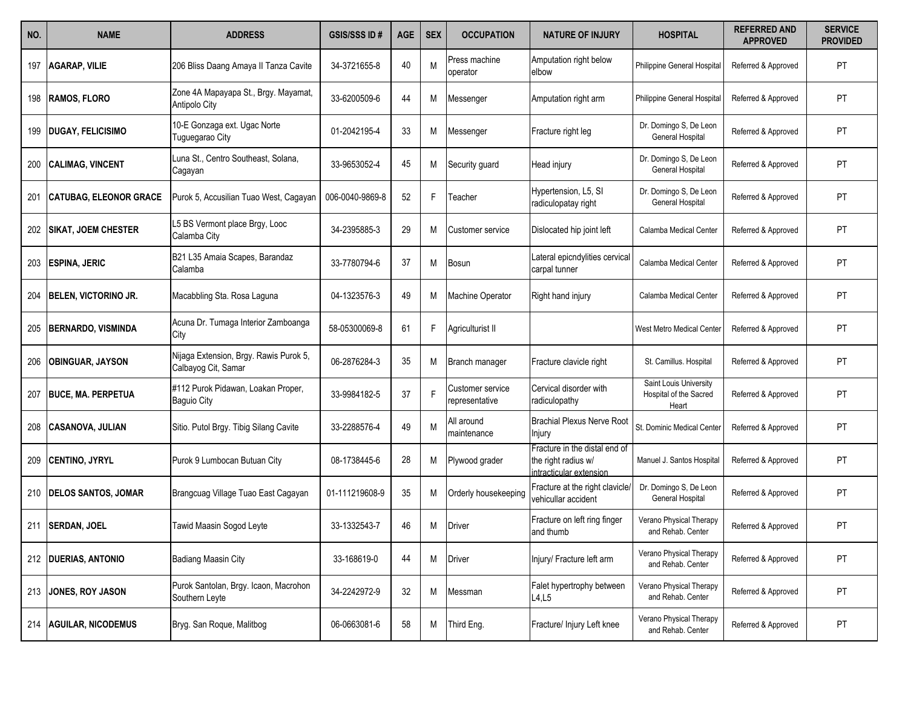| NO. | <b>NAME</b>                   | <b>ADDRESS</b>                                                | <b>GSIS/SSS ID#</b> | <b>AGE</b> | <b>SEX</b> | <b>OCCUPATION</b>                  | <b>NATURE OF INJURY</b>                                                         | HOSPITAL                                                  | <b>REFERRED AND</b><br><b>APPROVED</b> | <b>SERVICE</b><br><b>PROVIDED</b> |
|-----|-------------------------------|---------------------------------------------------------------|---------------------|------------|------------|------------------------------------|---------------------------------------------------------------------------------|-----------------------------------------------------------|----------------------------------------|-----------------------------------|
| 197 | <b>AGARAP, VILIE</b>          | 206 Bliss Daang Amaya II Tanza Cavite                         | 34-3721655-8        | 40         | M          | Press machine<br>operator          | Amputation right below<br>elbow                                                 | Philippine General Hospital                               | Referred & Approved                    | PT                                |
| 198 | <b>RAMOS, FLORO</b>           | Zone 4A Mapayapa St., Brgy. Mayamat,<br>Antipolo City         | 33-6200509-6        | 44         | M          | Messenger                          | Amputation right arm                                                            | Philippine General Hospital                               | Referred & Approved                    | PT                                |
| 199 | <b>DUGAY, FELICISIMO</b>      | 10-E Gonzaga ext. Ugac Norte<br>Tuguegarao City               | 01-2042195-4        | 33         | М          | Messenger                          | Fracture right leg                                                              | Dr. Domingo S, De Leon<br><b>General Hospital</b>         | Referred & Approved                    | PT                                |
| 200 | <b>CALIMAG, VINCENT</b>       | Luna St., Centro Southeast, Solana,<br>Cagayan                | 33-9653052-4        | 45         | М          | Security guard                     | Head injury                                                                     | Dr. Domingo S, De Leon<br>General Hospital                | Referred & Approved                    | PT                                |
| 201 | <b>CATUBAG, ELEONOR GRACE</b> | Purok 5, Accusilian Tuao West, Cagayan                        | 006-0040-9869-8     | 52         | F          | Teacher                            | Hypertension, L5, SI<br>radiculopatay right                                     | Dr. Domingo S, De Leon<br>General Hospital                | Referred & Approved                    | PT                                |
| 202 | <b>SIKAT, JOEM CHESTER</b>    | L5 BS Vermont place Brgy, Looc<br>Calamba City                | 34-2395885-3        | 29         | М          | Customer service                   | Dislocated hip joint left                                                       | Calamba Medical Center                                    | Referred & Approved                    | PT                                |
| 203 | <b>ESPINA, JERIC</b>          | B21 L35 Amaia Scapes, Barandaz<br>Calamba                     | 33-7780794-6        | 37         | М          | Bosun                              | Lateral epicndylities cervical<br>carpal tunner                                 | Calamba Medical Center                                    | Referred & Approved                    | PT                                |
| 204 | <b>BELEN, VICTORINO JR.</b>   | Macabbling Sta. Rosa Laguna                                   | 04-1323576-3        | 49         | М          | Machine Operator                   | Right hand injury                                                               | Calamba Medical Center                                    | Referred & Approved                    | PT                                |
| 205 | <b>BERNARDO, VISMINDA</b>     | Acuna Dr. Tumaga Interior Zamboanga<br>City                   | 58-05300069-8       | 61         |            | Agriculturist II                   |                                                                                 | West Metro Medical Center                                 | Referred & Approved                    | PT                                |
| 206 | <b>OBINGUAR, JAYSON</b>       | Nijaga Extension, Brgy. Rawis Purok 5,<br>Calbayog Cit, Samar | 06-2876284-3        | 35         | M          | Branch manager                     | Fracture clavicle right                                                         | St. Camillus. Hospital                                    | Referred & Approved                    | PT                                |
| 207 | <b>BUCE, MA. PERPETUA</b>     | #112 Purok Pidawan, Loakan Proper,<br>Baguio City             | 33-9984182-5        | 37         | F          | Customer service<br>representative | Cervical disorder with<br>radiculopathy                                         | Saint Louis University<br>Hospital of the Sacred<br>Heart | Referred & Approved                    | PT                                |
|     | <b>CASANOVA, JULIAN</b>       | Sitio. Putol Brgy. Tibig Silang Cavite                        | 33-2288576-4        | 49         | N          | All around<br>maintenance          | <b>Brachial Plexus Nerve Root</b><br>Injury                                     | St. Dominic Medical Center                                | Referred & Approved                    | PT                                |
| 209 | <b>CENTINO, JYRYL</b>         | Purok 9 Lumbocan Butuan City                                  | 08-1738445-6        | 28         | М          | Plywood grader                     | Fracture in the distal end of<br>the right radius w/<br>intracticular extension | Manuel J. Santos Hospital                                 | Referred & Approved                    | PT                                |
| 210 | <b>DELOS SANTOS, JOMAR</b>    | Brangcuag Village Tuao East Cagayan                           | 01-111219608-9      | 35         | M          | Orderly housekeeping               | Fracture at the right clavicle/<br>vehicullar accident                          | Dr. Domingo S, De Leon<br>General Hospital                | Referred & Approved                    | PT                                |
| 211 | <b>SERDAN, JOEL</b>           | Tawid Maasin Sogod Leyte                                      | 33-1332543-7        | 46         | М          | Driver                             | Fracture on left ring finger<br>and thumb                                       | Verano Physical Therapy<br>and Rehab. Center              | Referred & Approved                    | PT                                |
|     | 212   DUERIAS, ANTONIO        | <b>Badiang Maasin City</b>                                    | 33-168619-0         | 44         | М          | Driver                             | Injury/ Fracture left arm                                                       | Verano Physical Therapy<br>and Rehab. Center              | Referred & Approved                    | PT                                |
|     | 213 JONES, ROY JASON          | Purok Santolan, Brgy. Icaon, Macrohon<br>Southern Leyte       | 34-2242972-9        | 32         | М          | Messman                            | Falet hypertrophy between<br>L4, L5                                             | Verano Physical Therapy<br>and Rehab. Center              | Referred & Approved                    | PT                                |
|     | 214   AGUILAR, NICODEMUS      | Bryg. San Roque, Malitbog                                     | 06-0663081-6        | 58         | M          | Third Eng.                         | Fracture/ Injury Left knee                                                      | Verano Physical Therapy<br>and Rehab. Center              | Referred & Approved                    | PT                                |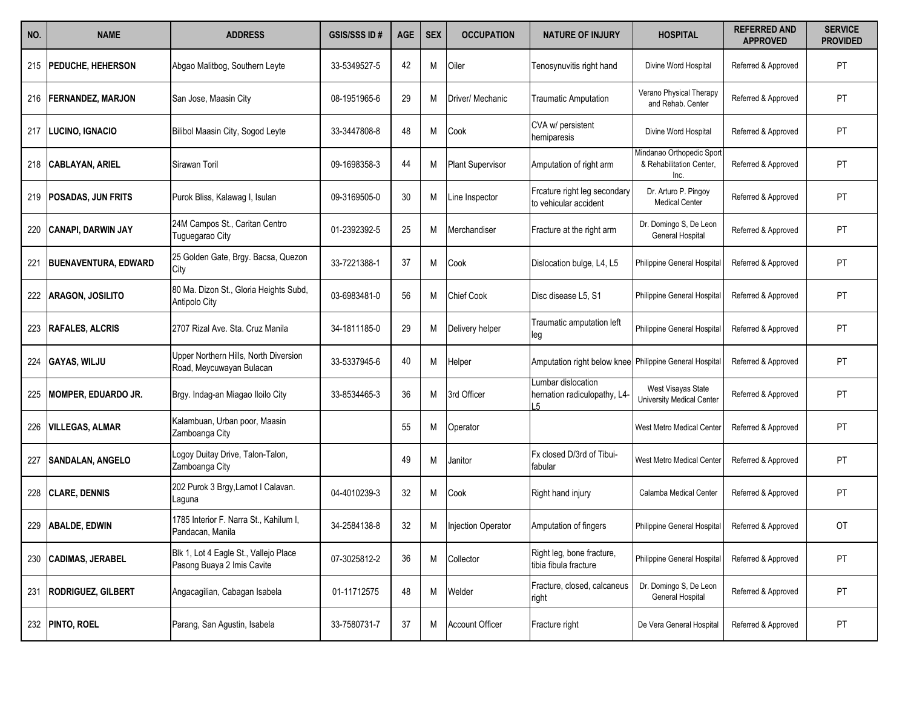| NO. | <b>NAME</b>                 | <b>ADDRESS</b>                                                      | <b>GSIS/SSS ID#</b> | <b>AGE</b> | <b>SEX</b> | <b>OCCUPATION</b>         | <b>NATURE OF INJURY</b>                                 | <b>HOSPITAL</b>                                               | <b>REFERRED AND</b><br><b>APPROVED</b> | <b>SERVICE</b><br><b>PROVIDED</b> |
|-----|-----------------------------|---------------------------------------------------------------------|---------------------|------------|------------|---------------------------|---------------------------------------------------------|---------------------------------------------------------------|----------------------------------------|-----------------------------------|
|     | 215   PEDUCHE, HEHERSON     | Abgao Malitbog, Southern Leyte                                      | 33-5349527-5        | 42         | Μ          | Oiler                     | Tenosynuvitis right hand                                | Divine Word Hospital                                          | Referred & Approved                    | PT                                |
| 216 | FERNANDEZ, MARJON           | San Jose, Maasin City                                               | 08-1951965-6        | 29         | M          | Driver/ Mechanic          | Traumatic Amputation                                    | Verano Physical Therapy<br>and Rehab. Center                  | Referred & Approved                    | PT                                |
| 217 | <b>LUCINO, IGNACIO</b>      | Bilibol Maasin City, Sogod Leyte                                    | 33-3447808-8        | 48         | Μ          | Cook                      | CVA w/ persistent<br>hemiparesis                        | Divine Word Hospital                                          | Referred & Approved                    | PT                                |
| 218 | <b>CABLAYAN, ARIEL</b>      | Sirawan Toril                                                       | 09-1698358-3        | 44         | M          | <b>Plant Supervisor</b>   | Amputation of right arm                                 | Mindanao Orthopedic Sport<br>& Rehabilitation Center,<br>Inc. | Referred & Approved                    | PT                                |
| 219 | <b>POSADAS, JUN FRITS</b>   | Purok Bliss, Kalawag I, Isulan                                      | 09-3169505-0        | 30         | M          | Line Inspector            | Frcature right leg secondary<br>to vehicular accident   | Dr. Arturo P. Pingoy<br><b>Medical Center</b>                 | Referred & Approved                    | PT                                |
| 220 | <b>CANAPI, DARWIN JAY</b>   | 24M Campos St., Caritan Centro<br>Tuguegarao City                   | 01-2392392-5        | 25         | Μ          | Merchandiser              | Fracture at the right arm                               | Dr. Domingo S, De Leon<br>General Hospital                    | Referred & Approved                    | PT                                |
| 221 | <b>BUENAVENTURA, EDWARD</b> | 25 Golden Gate, Brgy. Bacsa, Quezon<br>City                         | 33-7221388-1        | 37         | M          | Cook                      | Dislocation bulge, L4, L5                               | Philippine General Hospital                                   | Referred & Approved                    | PT                                |
| 222 | <b>ARAGON, JOSILITO</b>     | 80 Ma. Dizon St., Gloria Heights Subd,<br>Antipolo City             | 03-6983481-0        | 56         | Μ          | <b>Chief Cook</b>         | Disc disease L5, S1                                     | Philippine General Hospital                                   | Referred & Approved                    | PT                                |
| 223 | <b>RAFALES, ALCRIS</b>      | 2707 Rizal Ave. Sta. Cruz Manila                                    | 34-1811185-0        | 29         | M          | Delivery helper           | Traumatic amputation left<br>leg                        | Philippine General Hospital                                   | Referred & Approved                    | PT                                |
| 224 | <b>GAYAS, WILJU</b>         | Upper Northern Hills, North Diversion<br>Road, Meycuwayan Bulacan   | 33-5337945-6        | 40         | M          | Helper                    | Amputation right below knee Philippine General Hospital |                                                               | Referred & Approved                    | PT                                |
| 225 | MOMPER, EDUARDO JR.         | Brgy. Indag-an Miagao Iloilo City                                   | 33-8534465-3        | 36         | М          | 3rd Officer               | Lumbar dislocation<br>hernation radiculopathy, L4-<br>5 | West Visayas State<br>University Medical Center               | Referred & Approved                    | PT                                |
| 226 | <b>VILLEGAS, ALMAR</b>      | Kalambuan, Urban poor, Maasin<br>Zamboanga City                     |                     | 55         | M          | Operator                  |                                                         | West Metro Medical Center                                     | Referred & Approved                    | PT                                |
| 227 | <b>SANDALAN, ANGELO</b>     | Logoy Duitay Drive, Talon-Talon,<br>Zamboanga City                  |                     | 49         | М          | Janitor                   | Fx closed D/3rd of Tibui-<br>fabular                    | West Metro Medical Center                                     | Referred & Approved                    | PT                                |
| 228 | <b>CLARE, DENNIS</b>        | 202 Purok 3 Brgy, Lamot I Calavan.<br>Laguna                        | 04-4010239-3        | 32         | M          | Cook                      | Right hand injury                                       | Calamba Medical Center                                        | Referred & Approved                    | PT                                |
| 229 | <b>ABALDE, EDWIN</b>        | 1785 Interior F. Narra St., Kahilum I,<br>Pandacan, Manila          | 34-2584138-8        | 32         | Μ          | <b>Injection Operator</b> | Amputation of fingers                                   | Philippine General Hospital                                   | Referred & Approved                    | OT                                |
| 230 | <b>CADIMAS, JERABEL</b>     | Blk 1, Lot 4 Eagle St., Vallejo Place<br>Pasong Buaya 2 Imis Cavite | 07-3025812-2        | 36         | Μ          | Collector                 | Right leg, bone fracture,<br>tibia fibula fracture      | Philippine General Hospital                                   | Referred & Approved                    | PT                                |
| 231 | <b>RODRIGUEZ, GILBERT</b>   | Angacagilian, Cabagan Isabela                                       | 01-11712575         | 48         | Μ          | Welder                    | Fracture, closed, calcaneus<br>right                    | Dr. Domingo S, De Leon<br>General Hospital                    | Referred & Approved                    | PT                                |
|     | 232 PINTO, ROEL             | Parang, San Agustin, Isabela                                        | 33-7580731-7        | 37         | M          | <b>Account Officer</b>    | Fracture right                                          | De Vera General Hospital                                      | Referred & Approved                    | PT                                |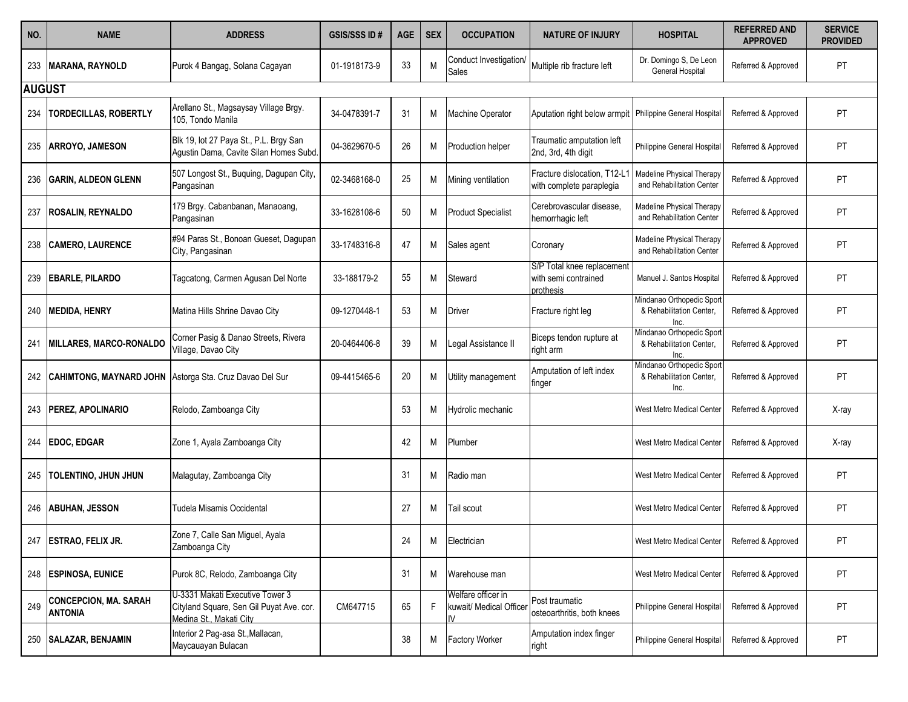| NO.           | <b>NAME</b>                                    | <b>ADDRESS</b>                                                                                         | <b>GSIS/SSS ID#</b> | <b>AGE</b> | <b>SEX</b> | <b>OCCUPATION</b>                                   | <b>NATURE OF INJURY</b>                                         | <b>HOSPITAL</b>                                               | <b>REFERRED AND</b><br><b>APPROVED</b> | <b>SERVICE</b><br><b>PROVIDED</b> |
|---------------|------------------------------------------------|--------------------------------------------------------------------------------------------------------|---------------------|------------|------------|-----------------------------------------------------|-----------------------------------------------------------------|---------------------------------------------------------------|----------------------------------------|-----------------------------------|
| 233           | <b>MARANA, RAYNOLD</b>                         | Purok 4 Bangag, Solana Cagayan                                                                         | 01-1918173-9        | 33         | M          | Conduct Investigation/<br>Sales                     | Multiple rib fracture left                                      | Dr. Domingo S, De Leon<br>General Hospital                    | Referred & Approved                    | PT                                |
| <b>AUGUST</b> |                                                |                                                                                                        |                     |            |            |                                                     |                                                                 |                                                               |                                        |                                   |
| 234           | <b>TORDECILLAS, ROBERTLY</b>                   | Arellano St., Magsaysay Village Brgy.<br>105, Tondo Manila                                             | 34-0478391-7        | 31         | M          | Machine Operator                                    | Aputation right below armpit   Philippine General Hospital      |                                                               | Referred & Approved                    | <b>PT</b>                         |
| 235           | ARROYO, JAMESON                                | Blk 19, lot 27 Paya St., P.L. Brgy San<br>Agustin Dama, Cavite Silan Homes Subd.                       | 04-3629670-5        | 26         | M          | Production helper                                   | Traumatic amputation left<br>2nd, 3rd, 4th digit                | Philippine General Hospital                                   | Referred & Approved                    | PT                                |
| 236           | <b>GARIN, ALDEON GLENN</b>                     | 507 Longost St., Buquing, Dagupan City,<br>Pangasinan                                                  | 02-3468168-0        | 25         | M          | Mining ventilation                                  | Fracture dislocation, T12-L1<br>with complete paraplegia        | Madeline Physical Therapy<br>and Rehabilitation Center        | Referred & Approved                    | PT                                |
| 237           | <b>ROSALIN, REYNALDO</b>                       | 179 Brgy. Cabanbanan, Manaoang,<br>Pangasinan                                                          | 33-1628108-6        | 50         | M          | <b>Product Specialist</b>                           | Cerebrovascular disease.<br>hemorrhagic left                    | Madeline Physical Therapy<br>and Rehabilitation Center        | Referred & Approved                    | PT                                |
| 238           | <b>CAMERO, LAURENCE</b>                        | #94 Paras St., Bonoan Gueset, Dagupan<br>City, Pangasinan                                              | 33-1748316-8        | 47         | M          | Sales agent                                         | Coronary                                                        | Madeline Physical Therapy<br>and Rehabilitation Center        | Referred & Approved                    | PT                                |
| 239           | <b> EBARLE, PILARDO</b>                        | Tagcatong, Carmen Agusan Del Norte                                                                     | 33-188179-2         | 55         | M          | Steward                                             | S/P Total knee replacement<br>with semi contrained<br>prothesis | Manuel J. Santos Hospital                                     | Referred & Approved                    | <b>PT</b>                         |
| 240           | <b>MEDIDA, HENRY</b>                           | Matina Hills Shrine Davao City                                                                         | 09-1270448-1        | 53         | M          | Driver                                              | Fracture right leg                                              | Mindanao Orthopedic Sport<br>& Rehabilitation Center,<br>Inc. | Referred & Approved                    | PT                                |
| 241           | MILLARES, MARCO-RONALDO                        | Corner Pasig & Danao Streets, Rivera<br>Village, Davao City                                            | 20-0464406-8        | 39         | M          | Legal Assistance II                                 | Biceps tendon rupture at<br>right arm                           | Mindanao Orthopedic Sport<br>& Rehabilitation Center,<br>Inc. | Referred & Approved                    | <b>PT</b>                         |
| 242           | <b>CAHIMTONG, MAYNARD JOHN</b>                 | Astorga Sta. Cruz Davao Del Sur                                                                        | 09-4415465-6        | 20         | M          | Utility management                                  | Amputation of left index<br>finger                              | Mindanao Orthopedic Sport<br>& Rehabilitation Center,<br>Inc. | Referred & Approved                    | PT                                |
| 243           | <b>PEREZ, APOLINARIO</b>                       | Relodo, Zamboanga City                                                                                 |                     | 53         | M          | Hydrolic mechanic                                   |                                                                 | West Metro Medical Cente                                      | Referred & Approved                    | X-ray                             |
| 244           | <b>EDOC, EDGAR</b>                             | Zone 1, Ayala Zamboanga City                                                                           |                     | 42         | M          | Plumber                                             |                                                                 | West Metro Medical Center                                     | Referred & Approved                    | X-ray                             |
|               | 245   TOLENTINO, JHUN JHUN                     | Malagutay, Zamboanga City                                                                              |                     | 31         | M          | Radio man                                           |                                                                 | West Metro Medical Center                                     | Referred & Approved                    | PT                                |
|               | 246 ABUHAN, JESSON                             | Tudela Misamis Occidental                                                                              |                     | 27         | M          | Tail scout                                          |                                                                 | West Metro Medical Center                                     | Referred & Approved                    | PT                                |
|               | 247   ESTRAO, FELIX JR.                        | Zone 7, Calle San Miguel, Ayala<br>Zamboanga City                                                      |                     | 24         | M          | Electrician                                         |                                                                 | West Metro Medical Center                                     | Referred & Approved                    | PT                                |
|               | 248   ESPINOSA, EUNICE                         | Purok 8C, Relodo, Zamboanga City                                                                       |                     | 31         | M          | Warehouse man                                       |                                                                 | West Metro Medical Center                                     | Referred & Approved                    | PT                                |
| 249           | <b>CONCEPCION, MA. SARAH</b><br><b>ANTONIA</b> | U-3331 Makati Executive Tower 3<br>Cityland Square, Sen Gil Puyat Ave. cor.<br>Medina St., Makati City | CM647715            | 65         | F          | Welfare officer in<br>kuwait/ Medical Officer<br>IV | Post traumatic<br>osteoarthritis, both knees                    | Philippine General Hospital                                   | Referred & Approved                    | PT                                |
| 250           | <b>SALAZAR, BENJAMIN</b>                       | Interior 2 Pag-asa St., Mallacan,<br>Maycauayan Bulacan                                                |                     | 38         | M          | <b>Factory Worker</b>                               | Amputation index finger<br>right                                | Philippine General Hospital                                   | Referred & Approved                    | PT                                |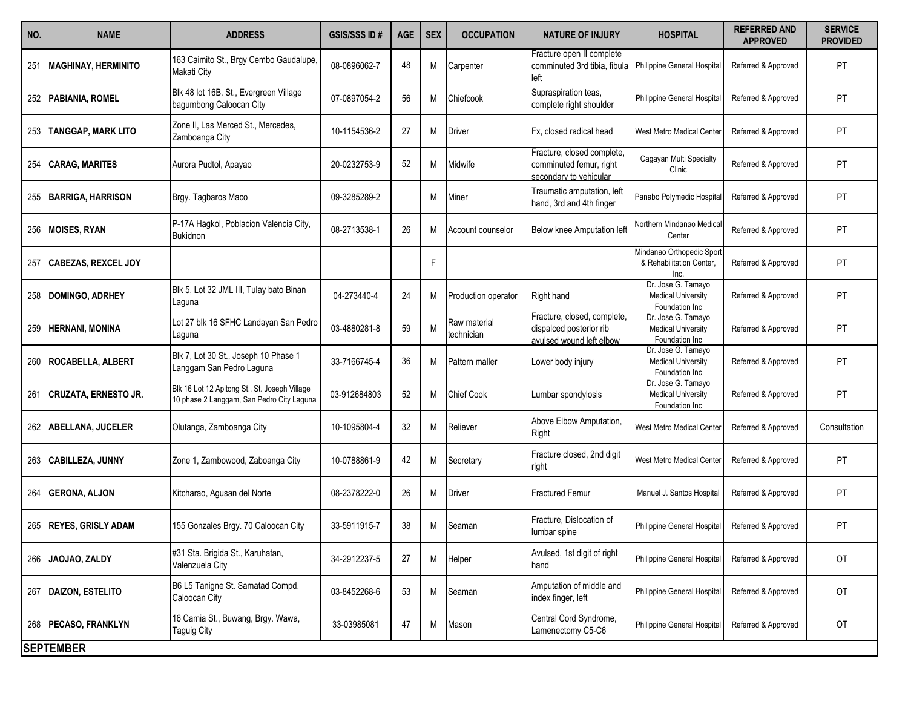| NO. | <b>NAME</b>                 | <b>ADDRESS</b>                                                                             | <b>GSIS/SSS ID#</b> | <b>AGE</b> | <b>SEX</b> | <b>OCCUPATION</b>          | <b>NATURE OF INJURY</b>                                                            | <b>HOSPITAL</b>                                                   | <b>REFERRED AND</b><br><b>APPROVED</b> | <b>SERVICE</b><br><b>PROVIDED</b> |
|-----|-----------------------------|--------------------------------------------------------------------------------------------|---------------------|------------|------------|----------------------------|------------------------------------------------------------------------------------|-------------------------------------------------------------------|----------------------------------------|-----------------------------------|
| 251 | <b>MAGHINAY, HERMINITO</b>  | 163 Caimito St., Brgy Cembo Gaudalupe,<br>Makati City                                      | 08-0896062-7        | 48         | Μ          | Carpenter                  | Fracture open II complete<br>comminuted 3rd tibia, fibula<br>left                  | Philippine General Hospital                                       | Referred & Approved                    | PT                                |
|     | 252   PABIANIA, ROMEL       | Blk 48 lot 16B. St., Evergreen Village<br>bagumbong Caloocan City                          | 07-0897054-2        | 56         | M          | Chiefcook                  | Supraspiration teas,<br>complete right shoulder                                    | Philippine General Hospital                                       | Referred & Approved                    | PT                                |
| 253 | <b>TANGGAP, MARK LITO</b>   | Zone II, Las Merced St., Mercedes,<br>Zamboanga City                                       | 10-1154536-2        | 27         | Μ          | Driver                     | IFx. closed radical head                                                           | West Metro Medical Center                                         | Referred & Approved                    | PT                                |
| 254 | <b>CARAG, MARITES</b>       | Aurora Pudtol, Apayao                                                                      | 20-0232753-9        | 52         | Μ          | Midwife                    | Fracture, closed complete,<br>comminuted femur, right<br>secondary to vehicular    | Cagayan Multi Specialty<br>Clinic                                 | Referred & Approved                    | PT                                |
|     | 255 BARRIGA, HARRISON       | Brgy. Tagbaros Maco                                                                        | 09-3285289-2        |            | Μ          | Miner                      | Traumatic amputation, left<br>hand, 3rd and 4th finger                             | Panabo Polymedic Hospita                                          | Referred & Approved                    | PT                                |
|     | 256 MOISES, RYAN            | P-17A Hagkol, Poblacion Valencia City,<br><b>Bukidnon</b>                                  | 08-2713538-1        | 26         | Μ          | Account counselor          | Below knee Amputation left                                                         | Northern Mindanao Medica<br>Center                                | Referred & Approved                    | PT                                |
| 257 | <b>CABEZAS, REXCEL JOY</b>  |                                                                                            |                     |            | F          |                            |                                                                                    | Mindanao Orthopedic Sport<br>& Rehabilitation Center,<br>Inc.     | Referred & Approved                    | PT                                |
|     | 258 DOMINGO, ADRHEY         | Blk 5, Lot 32 JML III, Tulay bato Binan<br>Laguna                                          | 04-273440-4         | 24         | Μ          | Production operator        | Right hand                                                                         | Dr. Jose G. Tamayo<br><b>Medical University</b><br>Foundation Inc | Referred & Approved                    | PT                                |
| 259 | <b>HERNANI, MONINA</b>      | Lot 27 blk 16 SFHC Landayan San Pedro<br>Laguna                                            | 03-4880281-8        | 59         | M          | Raw material<br>technician | Fracture, closed, complete,<br>dispalced posterior rib<br>avulsed wound left elbow | Dr. Jose G. Tamayo<br><b>Medical University</b><br>Foundation Inc | Referred & Approved                    | PT                                |
|     | 260 ROCABELLA, ALBERT       | Blk 7, Lot 30 St., Joseph 10 Phase 1<br>Langgam San Pedro Laguna                           | 33-7166745-4        | 36         | Μ          | Pattern maller             | Lower body injury                                                                  | Dr. Jose G. Tamayo<br><b>Medical University</b><br>Foundation Inc | Referred & Approved                    | PT                                |
| 261 | <b>CRUZATA, ERNESTO JR.</b> | Blk 16 Lot 12 Apitong St., St. Joseph Village<br>10 phase 2 Langgam, San Pedro City Laguna | 03-912684803        | 52         | Μ          | <b>Chief Cook</b>          | Lumbar spondylosis                                                                 | Dr. Jose G. Tamayo<br><b>Medical University</b><br>Foundation Inc | Referred & Approved                    | PT                                |
|     | 262 ABELLANA, JUCELER       | Olutanga, Zamboanga City                                                                   | 10-1095804-4        | 32         | Μ          | Reliever                   | Above Elbow Amputation,<br>Right                                                   | West Metro Medical Center                                         | Referred & Approved                    | Consultation                      |
|     | 263 CABILLEZA, JUNNY        | Zone 1, Zambowood, Zaboanga City                                                           | 10-0788861-9        | 42         | Μ          | Secretary                  | Fracture closed, 2nd digit<br>right                                                | West Metro Medical Center                                         | Referred & Approved                    | PT                                |
| 264 | <b>GERONA, ALJON</b>        | Kitcharao, Agusan del Norte                                                                | 08-2378222-0        | 26         | M          | Driver                     | <b>Fractured Femur</b>                                                             | Manuel J. Santos Hospital                                         | Referred & Approved                    | PT                                |
| 265 | <b>REYES, GRISLY ADAM</b>   | 155 Gonzales Brgy. 70 Caloocan City                                                        | 33-5911915-7        | 38         | Μ          | Seaman                     | Fracture, Dislocation of<br>lumbar spine                                           | Philippine General Hospital                                       | Referred & Approved                    | PT                                |
| 266 | JAOJAO, ZALDY               | #31 Sta. Brigida St., Karuhatan,<br>Valenzuela City                                        | 34-2912237-5        | 27         | M          | Helper                     | Avulsed, 1st digit of right<br>hand                                                | Philippine General Hospital                                       | Referred & Approved                    | OT                                |
|     | 267 DAIZON, ESTELITO        | B6 L5 Tanigne St. Samatad Compd.<br>Caloocan City                                          | 03-8452268-6        | 53         | M          | Seaman                     | Amputation of middle and<br>index finger, left                                     | Philippine General Hospital                                       | Referred & Approved                    | OT                                |
|     | 268   PECASO, FRANKLYN      | 16 Camia St., Buwang, Brgy. Wawa,<br><b>Taguig City</b>                                    | 33-03985081         | 47         | M          | Mason                      | Central Cord Syndrome,<br>Lamenectomy C5-C6                                        | Philippine General Hospital                                       | Referred & Approved                    | OT                                |
|     | <b>SEPTEMBER</b>            |                                                                                            |                     |            |            |                            |                                                                                    |                                                                   |                                        |                                   |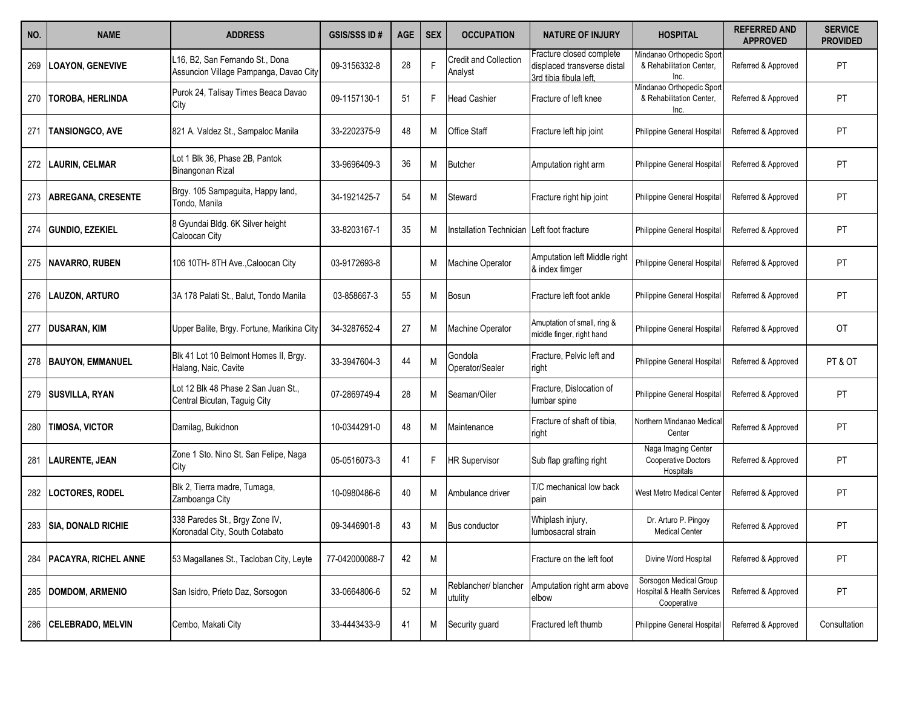| NO. | <b>NAME</b>                 | <b>ADDRESS</b>                                                            | <b>GSIS/SSS ID#</b> | <b>AGE</b> | <b>SEX</b> | <b>OCCUPATION</b>                | <b>NATURE OF INJURY</b>                                                           | <b>HOSPITAL</b>                                                     | <b>REFERRED AND</b><br><b>APPROVED</b> | <b>SERVICE</b><br><b>PROVIDED</b> |
|-----|-----------------------------|---------------------------------------------------------------------------|---------------------|------------|------------|----------------------------------|-----------------------------------------------------------------------------------|---------------------------------------------------------------------|----------------------------------------|-----------------------------------|
| 269 | <b>LOAYON, GENEVIVE</b>     | L16, B2, San Fernando St., Dona<br>Assuncion Village Pampanga, Davao City | 09-3156332-8        | 28         |            | Credit and Collection<br>Analyst | Fracture closed complete<br>displaced transverse distal<br>3rd tibia fibula left. | Mindanao Orthopedic Sport<br>& Rehabilitation Center,<br>Inc.       | Referred & Approved                    | PT                                |
| 270 | <b>TOROBA, HERLINDA</b>     | Purok 24, Talisay Times Beaca Davao<br>City                               | 09-1157130-1        | 51         | F          | <b>Head Cashier</b>              | Fracture of left knee                                                             | Mindanao Orthopedic Spor<br>& Rehabilitation Center,<br>Inc.        | Referred & Approved                    | PT                                |
| 271 | <b>TANSIONGCO, AVE</b>      | 821 A. Valdez St., Sampaloc Manila                                        | 33-2202375-9        | 48         | M          | <b>Office Staff</b>              | Fracture left hip joint                                                           | Philippine General Hospital                                         | Referred & Approved                    | PT                                |
| 272 | <b>LAURIN, CELMAR</b>       | Lot 1 Blk 36, Phase 2B, Pantok<br>Binangonan Rizal                        | 33-9696409-3        | 36         | M          | <b>Butcher</b>                   | Amputation right arm                                                              | Philippine General Hospital                                         | Referred & Approved                    | PT                                |
| 273 | <b>ABREGANA, CRESENTE</b>   | Brgy. 105 Sampaguita, Happy land,<br>Tondo, Manila                        | 34-1921425-7        | 54         | М          | Steward                          | Fracture right hip joint                                                          | Philippine General Hospital                                         | Referred & Approved                    | PT                                |
| 274 | <b>GUNDIO, EZEKIEL</b>      | 8 Gyundai Bldg. 6K Silver height<br>Caloocan City                         | 33-8203167-1        | 35         | M          | Installation Technician          | Left foot fracture                                                                | Philippine General Hospital                                         | Referred & Approved                    | PT                                |
| 275 | <b>NAVARRO, RUBEN</b>       | 106 10TH- 8TH Ave., Caloocan City                                         | 03-9172693-8        |            | М          | <b>Machine Operator</b>          | Amputation left Middle right<br>& index fimger                                    | Philippine General Hospital                                         | Referred & Approved                    | PT                                |
| 276 | <b>LAUZON, ARTURO</b>       | 3A 178 Palati St., Balut, Tondo Manila                                    | 03-858667-3         | 55         | М          | Bosun                            | Fracture left foot ankle                                                          | Philippine General Hospital                                         | Referred & Approved                    | <b>PT</b>                         |
| 277 | <b>DUSARAN, KIM</b>         | Upper Balite, Brgy. Fortune, Marikina City                                | 34-3287652-4        | 27         | М          | <b>Machine Operator</b>          | Amuptation of small, ring &<br>middle finger, right hand                          | Philippine General Hospital                                         | Referred & Approved                    | OT                                |
| 278 | <b>BAUYON, EMMANUEL</b>     | Blk 41 Lot 10 Belmont Homes II, Brgy.<br>Halang, Naic, Cavite             | 33-3947604-3        | 44         | M          | Gondola<br>Operator/Sealer       | Fracture, Pelvic left and<br>right                                                | Philippine General Hospital                                         | Referred & Approved                    | PT & OT                           |
| 279 | <b>SUSVILLA, RYAN</b>       | Lot 12 Blk 48 Phase 2 San Juan St.,<br>Central Bicutan, Taguig City       | 07-2869749-4        | 28         | М          | Seaman/Oiler                     | Fracture, Dislocation of<br>lumbar spine                                          | Philippine General Hospital                                         | Referred & Approved                    | PT                                |
| 280 | <b>TIMOSA, VICTOR</b>       | Damilag, Bukidnon                                                         | 10-0344291-0        | 48         | M          | Maintenance                      | Fracture of shaft of tibia.<br>right                                              | Northern Mindanao Medica<br>Center                                  | Referred & Approved                    | PT                                |
| 281 | <b>LAURENTE, JEAN</b>       | Zone 1 Sto. Nino St. San Felipe, Naga<br>City                             | 05-0516073-3        | 41         |            | <b>HR Supervisor</b>             | Sub flap grafting right                                                           | Naga Imaging Center<br><b>Cooperative Doctors</b><br>Hospitals      | Referred & Approved                    | PT                                |
| 282 | <b>LOCTORES, RODEL</b>      | Blk 2, Tierra madre, Tumaga,<br>Zamboanga City                            | 10-0980486-6        | 40         | М          | Ambulance driver                 | T/C mechanical low back<br>pain                                                   | West Metro Medical Center                                           | Referred & Approved                    | PT                                |
| 283 | <b>SIA, DONALD RICHIE</b>   | 338 Paredes St., Brgy Zone IV,<br>Koronadal City, South Cotabato          | 09-3446901-8        | 43         | М          | <b>Bus conductor</b>             | Whiplash injury,<br>lumbosacral strain                                            | Dr. Arturo P. Pingoy<br><b>Medical Center</b>                       | Referred & Approved                    | PT                                |
| 284 | <b>PACAYRA, RICHEL ANNE</b> | 53 Magallanes St., Tacloban City, Leyte                                   | 77-042000088-7      | 42         | Μ          |                                  | Fracture on the left foot                                                         | Divine Word Hospital                                                | Referred & Approved                    | PT                                |
| 285 | <b>DOMDOM, ARMENIO</b>      | San Isidro, Prieto Daz, Sorsogon                                          | 33-0664806-6        | 52         | M          | Reblancher/ blancher<br>utulity  | Amputation right arm above<br>elbow                                               | Sorsogon Medical Group<br>Hospital & Health Services<br>Cooperative | Referred & Approved                    | PT                                |
| 286 | <b>CELEBRADO, MELVIN</b>    | Cembo, Makati City                                                        | 33-4443433-9        | 41         | Μ          | Security guard                   | Fractured left thumb                                                              | Philippine General Hospital                                         | Referred & Approved                    | Consultation                      |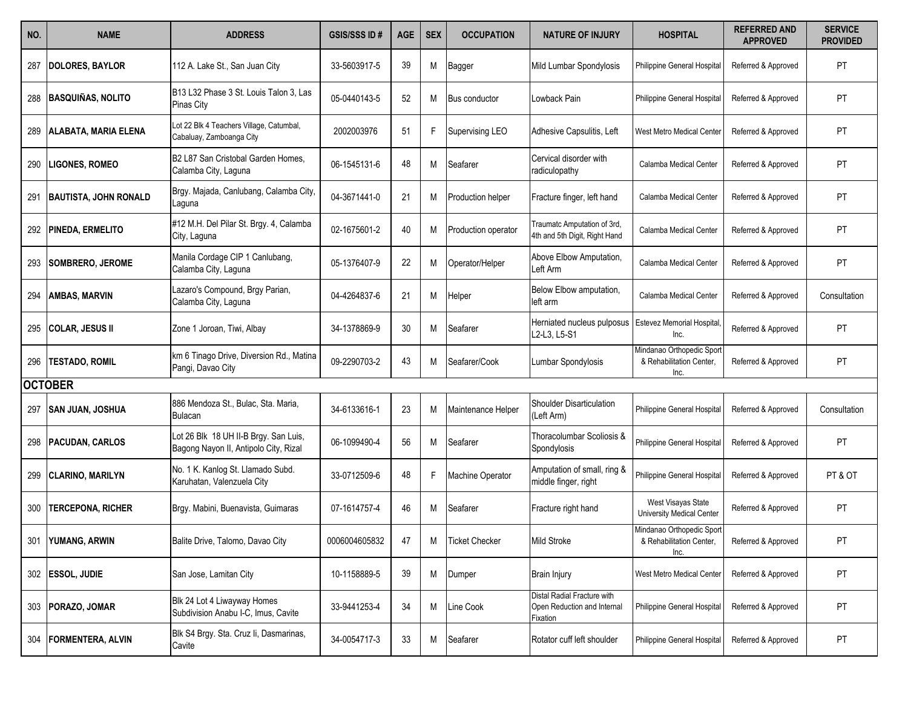| NO. | <b>NAME</b>                  | <b>ADDRESS</b>                                                                 | <b>GSIS/SSS ID#</b> | <b>AGE</b> | <b>SEX</b> | <b>OCCUPATION</b>        | <b>NATURE OF INJURY</b>                                                | <b>HOSPITAL</b>                                               | <b>REFERRED AND</b><br><b>APPROVED</b> | <b>SERVICE</b><br><b>PROVIDED</b> |
|-----|------------------------------|--------------------------------------------------------------------------------|---------------------|------------|------------|--------------------------|------------------------------------------------------------------------|---------------------------------------------------------------|----------------------------------------|-----------------------------------|
| 287 | <b>DOLORES, BAYLOR</b>       | 112 A. Lake St., San Juan City                                                 | 33-5603917-5        | 39         | M          | Bagger                   | Mild Lumbar Spondylosis                                                | Philippine General Hospital                                   | Referred & Approved                    | <b>PT</b>                         |
| 288 | <b>BASQUIÑAS, NOLITO</b>     | B13 L32 Phase 3 St. Louis Talon 3, Las<br>Pinas City                           | 05-0440143-5        | 52         | М          | Bus conductor            | Lowback Pain                                                           | Philippine General Hospital                                   | Referred & Approved                    | PT                                |
| 289 | <b>ALABATA, MARIA ELENA</b>  | Lot 22 Blk 4 Teachers Village, Catumbal,<br>Cabaluay, Zamboanga City           | 2002003976          | 51         | F          | Supervising LEO          | Adhesive Capsulitis, Left                                              | West Metro Medical Center                                     | Referred & Approved                    | PT                                |
| 290 | <b>LIGONES, ROMEO</b>        | B2 L87 San Cristobal Garden Homes,<br>Calamba City, Laguna                     | 06-1545131-6        | 48         | Μ          | Seafarer                 | Cervical disorder with<br>radiculopathy                                | Calamba Medical Center                                        | Referred & Approved                    | PT                                |
| 291 | <b>BAUTISTA, JOHN RONALD</b> | Brgy. Majada, Canlubang, Calamba City,<br>Laguna                               | 04-3671441-0        | 21         | M          | <b>Production helper</b> | Fracture finger, left hand                                             | Calamba Medical Center                                        | Referred & Approved                    | PT                                |
| 292 | <b>PINEDA, ERMELITO</b>      | #12 M.H. Del Pilar St. Brgy. 4, Calamba<br>City, Laguna                        | 02-1675601-2        | 40         | Μ          | Production operator      | Traumatc Amputation of 3rd,<br>4th and 5th Digit, Right Hand           | Calamba Medical Center                                        | Referred & Approved                    | PT                                |
|     | <b>ISOMBRERO. JEROME</b>     | Manila Cordage CIP 1 Canlubang,<br>Calamba City, Laguna                        | 05-1376407-9        | 22         | М          | Operator/Helper          | Above Elbow Amputation,<br>Left Arm                                    | Calamba Medical Center                                        | Referred & Approved                    | PT                                |
| 294 | <b>AMBAS, MARVIN</b>         | Lazaro's Compound, Brgy Parian,<br>Calamba City, Laguna                        | 04-4264837-6        | 21         | Μ          | Helper                   | Below Elbow amputation,<br>left arm                                    | Calamba Medical Center                                        | Referred & Approved                    | Consultation                      |
| 295 | <b>COLAR, JESUS II</b>       | Zone 1 Joroan, Tiwi, Albay                                                     | 34-1378869-9        | 30         | M          | Seafarer                 | Herniated nucleus pulposus<br>L2-L3, L5-S1                             | <b>Estevez Memorial Hospital</b><br>Inc.                      | Referred & Approved                    | PT                                |
| 296 | <b>TESTADO, ROMIL</b>        | km 6 Tinago Drive, Diversion Rd., Matina<br>Pangi, Davao City                  | 09-2290703-2        | 43         | M          | Seafarer/Cook            | Lumbar Spondylosis                                                     | Mindanao Orthopedic Sport<br>& Rehabilitation Center,<br>Inc. | Referred & Approved                    | PT                                |
|     | <b>OCTOBER</b>               |                                                                                |                     |            |            |                          |                                                                        |                                                               |                                        |                                   |
| 297 | <b>SAN JUAN, JOSHUA</b>      | 886 Mendoza St., Bulac, Sta. Maria,<br><b>Bulacan</b>                          | 34-6133616-1        | 23         | Μ          | Maintenance Helper       | Shoulder Disarticulation<br>(Left Arm)                                 | Philippine General Hospital                                   | Referred & Approved                    | Consultation                      |
| 298 | <b>PACUDAN, CARLOS</b>       | Lot 26 Blk 18 UH II-B Brgy. San Luis,<br>Bagong Nayon II, Antipolo City, Rizal | 06-1099490-4        | 56         | М          | Seafarer                 | Thoracolumbar Scoliosis &<br>Spondylosis                               | Philippine General Hospital                                   | Referred & Approved                    | PT                                |
| 299 | <b>CLARINO, MARILYN</b>      | No. 1 K. Kanlog St. Llamado Subd.<br>Karuhatan, Valenzuela City                | 33-0712509-6        | 48         |            | Machine Operator         | Amputation of small, ring &<br>middle finger, right                    | Philippine General Hospital                                   | Referred & Approved                    | PT & OT                           |
| 300 | <b>TERCEPONA, RICHER</b>     | Brgy. Mabini, Buenavista, Guimaras                                             | 07-1614757-4        | 46         | М          | Seafarer                 | Fracture right hand                                                    | West Visayas State<br>University Medical Center               | Referred & Approved                    | PT                                |
| 301 | YUMANG, ARWIN                | Balite Drive, Talomo, Davao City                                               | 0006004605832       | 47         | м          | <b>Ticket Checker</b>    | Mild Stroke                                                            | Mindanao Orthopedic Sport<br>& Rehabilitation Center,<br>Inc. | Referred & Approved                    | PT                                |
|     | 302 ESSOL, JUDIE             | San Jose, Lamitan City                                                         | 10-1158889-5        | 39         | Μ          | Dumper                   | <b>Brain Injury</b>                                                    | West Metro Medical Center                                     | Referred & Approved                    | PT                                |
| 303 | PORAZO, JOMAR                | Blk 24 Lot 4 Liwayway Homes<br>Subdivision Anabu I-C, Imus, Cavite             | 33-9441253-4        | 34         | M          | Line Cook                | Distal Radial Fracture with<br>Open Reduction and Internal<br>Fixation | Philippine General Hospital                                   | Referred & Approved                    | PT                                |
| 304 | <b>FORMENTERA, ALVIN</b>     | Blk S4 Brgy. Sta. Cruz li, Dasmarinas,<br>Cavite                               | 34-0054717-3        | 33         | M          | Seafarer                 | Rotator cuff left shoulder                                             | Philippine General Hospital                                   | Referred & Approved                    | PT                                |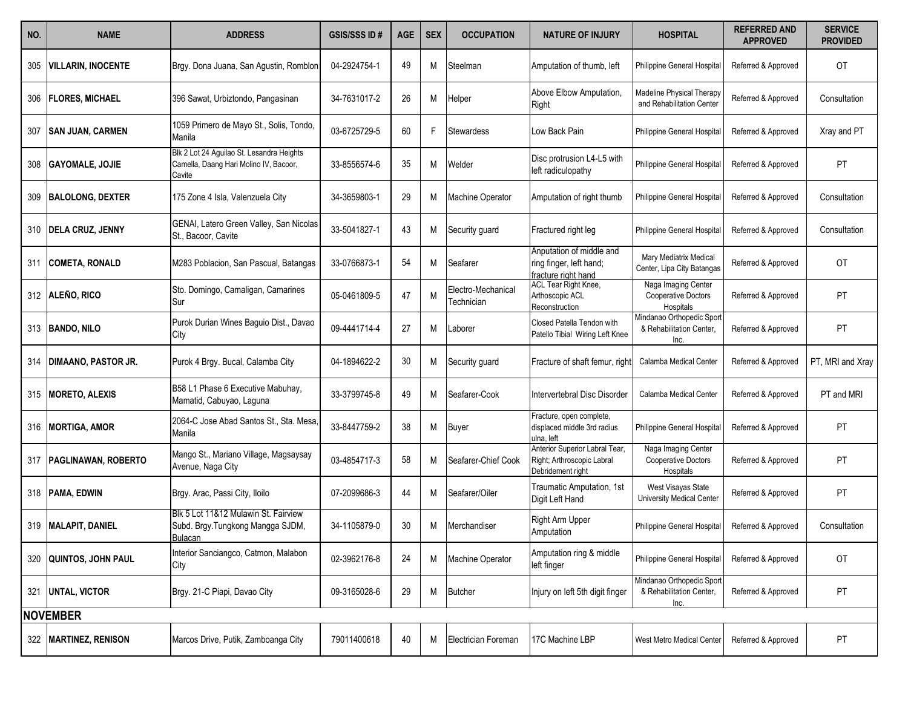| NO. | <b>NAME</b>                | <b>ADDRESS</b>                                                                                | <b>GSIS/SSS ID#</b> | <b>AGE</b> | <b>SEX</b> | <b>OCCUPATION</b>                | <b>NATURE OF INJURY</b>                                                           | <b>HOSPITAL</b>                                               | <b>REFERRED AND</b><br><b>APPROVED</b> | <b>SERVICE</b><br><b>PROVIDED</b> |
|-----|----------------------------|-----------------------------------------------------------------------------------------------|---------------------|------------|------------|----------------------------------|-----------------------------------------------------------------------------------|---------------------------------------------------------------|----------------------------------------|-----------------------------------|
| 305 | VILLARIN, INOCENTE         | Brgy. Dona Juana, San Agustin, Romblon                                                        | 04-2924754-1        | 49         | М          | Steelman                         | Amputation of thumb, left                                                         | Philippine General Hospital                                   | Referred & Approved                    | OT                                |
| 306 | <b>FLORES, MICHAEL</b>     | 396 Sawat, Urbiztondo, Pangasinan                                                             | 34-7631017-2        | 26         | M          | Helper                           | Above Elbow Amputation,<br>Right                                                  | Madeline Physical Therapy<br>and Rehabilitation Center        | Referred & Approved                    | Consultation                      |
|     | <b>SAN JUAN, CARMEN</b>    | 1059 Primero de Mayo St., Solis, Tondo,<br>Manila                                             | 03-6725729-5        | 60         | F          | <b>Stewardess</b>                | Low Back Pain                                                                     | Philippine General Hospital                                   | Referred & Approved                    | Xray and PT                       |
| 308 | <b>GAYOMALE, JOJIE</b>     | Blk 2 Lot 24 Aguilao St. Lesandra Heights<br>Camella, Daang Hari Molino IV, Bacoor,<br>Cavite | 33-8556574-6        | 35         | М          | Welder                           | Disc protrusion L4-L5 with<br>left radiculopathy                                  | Philippine General Hospital                                   | Referred & Approved                    | PT                                |
| 309 | <b>BALOLONG, DEXTER</b>    | 175 Zone 4 Isla, Valenzuela City                                                              | 34-3659803-1        | 29         | M          | Machine Operator                 | Amputation of right thumb                                                         | Philippine General Hospital                                   | Referred & Approved                    | Consultation                      |
|     | 310   DELA CRUZ, JENNY     | GENAI, Latero Green Valley, San Nicolas<br>St., Bacoor, Cavite                                | 33-5041827-1        | 43         | Μ          | Security guard                   | Fractured right leg                                                               | Philippine General Hospital                                   | Referred & Approved                    | Consultation                      |
| 311 | <b>COMETA, RONALD</b>      | M283 Poblacion, San Pascual, Batangas                                                         | 33-0766873-1        | 54         | M          | Seafarer                         | Anputation of middle and<br>ring finger, left hand;<br>fracture right hand        | Mary Mediatrix Medical<br>Center, Lipa City Batangas          | Referred & Approved                    | <b>OT</b>                         |
|     | 312 ALEÑO, RICO            | Sto. Domingo, Camaligan, Camarines<br>Sur                                                     | 05-0461809-5        | 47         | M          | Electro-Mechanical<br>Technician | ACL Tear Right Knee,<br>Arthoscopic ACL<br>Reconstruction                         | Naga Imaging Center<br>Cooperative Doctors<br>Hospitals       | Referred & Approved                    | PT                                |
|     | 313 BANDO, NILO            | Purok Durian Wines Baguio Dist., Davao<br>City                                                | 09-4441714-4        | 27         | М          | Laborer                          | Closed Patella Tendon with<br>Patello Tibial Wiring Left Knee                     | Mindanao Orthopedic Sport<br>& Rehabilitation Center,<br>Inc. | Referred & Approved                    | PT                                |
| 314 | <b>DIMAANO, PASTOR JR.</b> | Purok 4 Brgy. Bucal, Calamba City                                                             | 04-1894622-2        | 30         | M          | Security guard                   | Fracture of shaft femur, right                                                    | Calamba Medical Center                                        | Referred & Approved                    | PT, MRI and Xray                  |
| 315 | <b>MORETO, ALEXIS</b>      | B58 L1 Phase 6 Executive Mabuhay,<br>Mamatid, Cabuyao, Laguna                                 | 33-3799745-8        | 49         | М          | Seafarer-Cook                    | Intervertebral Disc Disorder                                                      | Calamba Medical Center                                        | Referred & Approved                    | PT and MRI                        |
| 316 | <b>MORTIGA, AMOR</b>       | 2064-C Jose Abad Santos St., Sta. Mesa,<br>Manila                                             | 33-8447759-2        | 38         | М          | Buyer                            | Fracture, open complete,<br>displaced middle 3rd radius<br>ulna, left             | Philippine General Hospital                                   | Referred & Approved                    | PT                                |
| 317 | <b>PAGLINAWAN, ROBERTO</b> | Mango St., Mariano Village, Magsaysay<br>Avenue, Naga City                                    | 03-4854717-3        | 58         | М          | Seafarer-Chief Cook              | Anterior Superior Labral Tear,<br>Right; Arthroscopic Labral<br>Debridement right | Naga Imaging Center<br>Cooperative Doctors<br>Hospitals       | Referred & Approved                    | PT                                |
|     | 318   PAMA, EDWIN          | Brgy. Arac, Passi City, Iloilo                                                                | 07-2099686-3        | 44         | М          | Seafarer/Oiler                   | Traumatic Amputation, 1st<br>Digit Left Hand                                      | West Visayas State<br>University Medical Center               | Referred & Approved                    | PT                                |
|     | 319   MALAPIT, DANIEL      | Blk 5 Lot 11&12 Mulawin St. Fairview<br>Subd. Brgy. Tungkong Mangga SJDM,<br>Bulacan          | 34-1105879-0        | 30         | Μ          | Merchandiser                     | Right Arm Upper<br>Amputation                                                     | Philippine General Hospital                                   | Referred & Approved                    | Consultation                      |
| 320 | <b>QUINTOS, JOHN PAUL</b>  | Interior Sanciangco, Catmon, Malabon<br>City                                                  | 02-3962176-8        | 24         | Μ          | Machine Operator                 | Amputation ring & middle<br>left finger                                           | Philippine General Hospital                                   | Referred & Approved                    | OT                                |
| 321 | <b>UNTAL, VICTOR</b>       | Brgy. 21-C Piapi, Davao City                                                                  | 09-3165028-6        | 29         | M          | <b>Butcher</b>                   | Injury on left 5th digit finger                                                   | Mindanao Orthopedic Sport<br>& Rehabilitation Center,<br>Inc. | Referred & Approved                    | PT                                |
|     | <b>NOVEMBER</b>            |                                                                                               |                     |            |            |                                  |                                                                                   |                                                               |                                        |                                   |
| 322 | <b>MARTINEZ, RENISON</b>   | Marcos Drive, Putik, Zamboanga City                                                           | 79011400618         | 40         | M          | Electrician Foreman              | 17C Machine LBP                                                                   | West Metro Medical Center                                     | Referred & Approved                    | PT                                |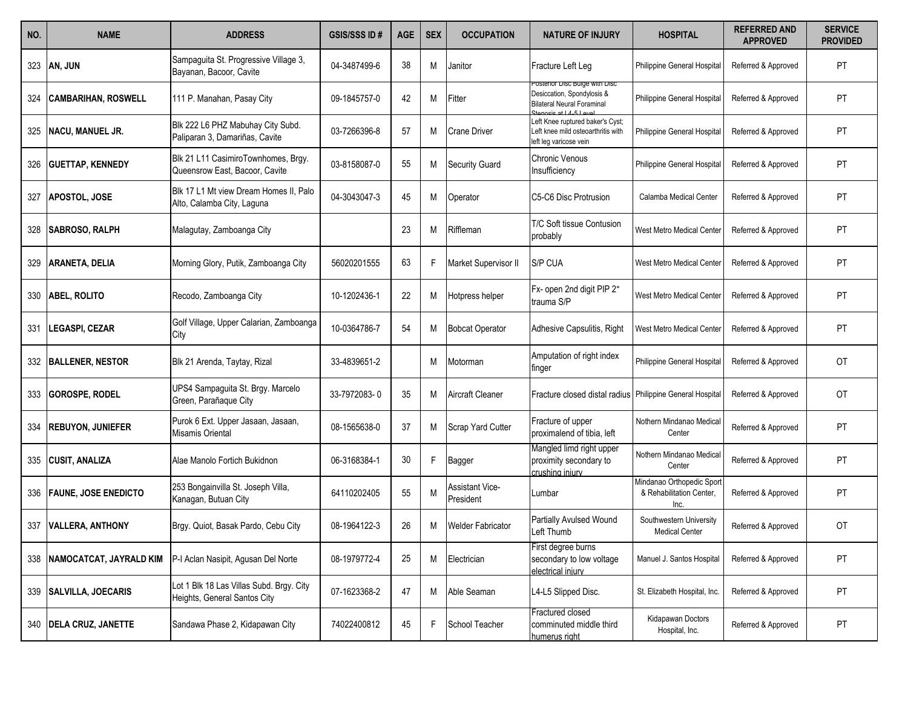| NO. | <b>NAME</b>                 | <b>ADDRESS</b>                                                           | <b>GSIS/SSS ID#</b> | <b>AGE</b> | <b>SEX</b> | <b>OCCUPATION</b>                   | <b>NATURE OF INJURY</b>                                                                          | <b>HOSPITAL</b>                                               | <b>REFERRED AND</b><br><b>APPROVED</b> | <b>SERVICE</b><br><b>PROVIDED</b> |
|-----|-----------------------------|--------------------------------------------------------------------------|---------------------|------------|------------|-------------------------------------|--------------------------------------------------------------------------------------------------|---------------------------------------------------------------|----------------------------------------|-----------------------------------|
| 323 | AN, JUN                     | Sampaguita St. Progressive Village 3,<br>Bayanan, Bacoor, Cavite         | 04-3487499-6        | 38         | М          | Janitor                             | Fracture Left Leg                                                                                | Philippine General Hospital                                   | Referred & Approved                    | <b>PT</b>                         |
| 324 | <b>CAMBARIHAN, ROSWELL</b>  | 111 P. Manahan, Pasay City                                               | 09-1845757-0        | 42         | М          | Fitter                              | osterior Disc Bulge with Disc<br>Desiccation, Spondylosis &<br><b>Bilateral Neural Foraminal</b> | Philippine General Hospital                                   | Referred & Approved                    | PT                                |
| 325 | <b>NACU, MANUEL JR.</b>     | Blk 222 L6 PHZ Mabuhay City Subd.<br>Paliparan 3, Damariñas, Cavite      | 03-7266396-8        | 57         | Μ          | <b>Crane Driver</b>                 | Left Knee ruptured baker's Cyst;<br>eft knee mild osteoarthritis with<br>left leg varicose vein  | Philippine General Hospital                                   | Referred & Approved                    | PT                                |
| 326 | <b>GUETTAP, KENNEDY</b>     | Blk 21 L11 CasimiroTownhomes, Brgy.<br>Queensrow East, Bacoor, Cavite    | 03-8158087-0        | 55         | М          | <b>Security Guard</b>               | Chronic Venous<br>Insufficiency                                                                  | <b>Philippine General Hospital</b>                            | Referred & Approved                    | PT                                |
| 327 | <b>APOSTOL, JOSE</b>        | Blk 17 L1 Mt view Dream Homes II, Palo<br>Alto, Calamba City, Laguna     | 04-3043047-3        | 45         | Μ          | Operator                            | C5-C6 Disc Protrusion                                                                            | Calamba Medical Center                                        | Referred & Approved                    | PT                                |
| 328 | <b>SABROSO, RALPH</b>       | Malagutay, Zamboanga City                                                |                     | 23         | М          | Riffleman                           | T/C Soft tissue Contusion<br>probably                                                            | West Metro Medical Center                                     | Referred & Approved                    | PT                                |
| 329 | <b>ARANETA, DELIA</b>       | Morning Glory, Putik, Zamboanga City                                     | 56020201555         | 63         | F          | Market Supervisor II                | S/P CUA                                                                                          | West Metro Medical Center                                     | Referred & Approved                    | PT                                |
| 330 | <b>ABEL, ROLITO</b>         | Recodo, Zamboanga City                                                   | 10-1202436-1        | 22         | M          | Hotpress helper                     | Fx- open 2nd digit PIP 2°<br>trauma S/P                                                          | West Metro Medical Center                                     | Referred & Approved                    | PT                                |
| 331 | LEGASPI, CEZAR              | Golf Village, Upper Calarian, Zamboanga<br>City                          | 10-0364786-7        | 54         | М          | <b>Bobcat Operator</b>              | Adhesive Capsulitis, Right                                                                       | West Metro Medical Center                                     | Referred & Approved                    | <b>PT</b>                         |
| 332 | <b>BALLENER, NESTOR</b>     | Blk 21 Arenda, Taytay, Rizal                                             | 33-4839651-2        |            | М          | Motorman                            | Amputation of right index<br>finger                                                              | Philippine General Hospital                                   | Referred & Approved                    | 0T                                |
| 333 | <b>GOROSPE, RODEL</b>       | UPS4 Sampaguita St. Brgy. Marcelo<br>Green, Parañaque City               | 33-7972083-0        | 35         | M          | <b>Aircraft Cleaner</b>             | Fracture closed distal radius Philippine General Hospital                                        |                                                               | Referred & Approved                    | <b>OT</b>                         |
| 334 | <b>REBUYON, JUNIEFER</b>    | Purok 6 Ext. Upper Jasaan, Jasaan,<br>Misamis Oriental                   | 08-1565638-0        | 37         | M          | Scrap Yard Cutter                   | Fracture of upper<br>proximalend of tibia, left                                                  | Nothern Mindanao Medical<br>Center                            | Referred & Approved                    | PT                                |
| 335 | <b>CUSIT, ANALIZA</b>       | Alae Manolo Fortich Bukidnon                                             | 06-3168384-1        | 30         | F          | Bagger                              | Mangled limd right upper<br>proximity secondary to<br>crushina iniurv                            | Nothern Mindanao Medica<br>Center                             | Referred & Approved                    | PT                                |
| 336 | <b>FAUNE, JOSE ENEDICTO</b> | 253 Bongainvilla St. Joseph Villa,<br>Kanagan, Butuan City               | 64110202405         | 55         | M          | <b>Assistant Vice-</b><br>President | Lumbar                                                                                           | Mindanao Orthopedic Sport<br>& Rehabilitation Center,<br>Inc. | Referred & Approved                    | PT                                |
| 337 | <b>VALLERA, ANTHONY</b>     | Brgy. Quiot, Basak Pardo, Cebu City                                      | 08-1964122-3        | 26         | М          | <b>Welder Fabricator</b>            | <b>Partially Avulsed Wound</b><br>Left Thumb                                                     | Southwestern University<br><b>Medical Center</b>              | Referred & Approved                    | OT                                |
| 338 | NAMOCATCAT, JAYRALD KIM     | P-I Aclan Nasipit, Agusan Del Norte                                      | 08-1979772-4        | 25         | Μ          | Electrician                         | First degree burns<br>secondary to low voltage<br>electrical iniury                              | Manuel J. Santos Hospital                                     | Referred & Approved                    | PT                                |
| 339 | <b>SALVILLA, JOECARIS</b>   | Lot 1 Blk 18 Las Villas Subd. Brgy. City<br>Heights, General Santos City | 07-1623368-2        | 47         | Μ          | Able Seaman                         | L4-L5 Slipped Disc.                                                                              | St. Elizabeth Hospital, Inc.                                  | Referred & Approved                    | PT                                |
| 340 | <b>DELA CRUZ, JANETTE</b>   | Sandawa Phase 2, Kidapawan City                                          | 74022400812         | 45         |            | School Teacher                      | <b>Fractured closed</b><br>comminuted middle third<br>humerus right                              | Kidapawan Doctors<br>Hospital, Inc.                           | Referred & Approved                    | PT                                |